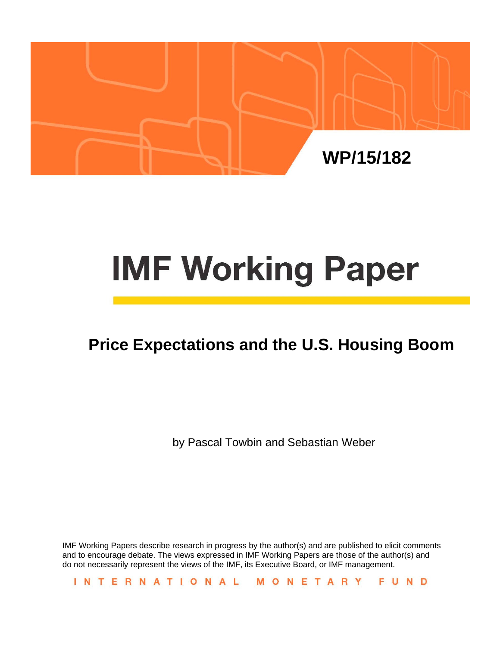

# **IMF Working Paper**

# **Price Expectations and the U.S. Housing Boom**

by Pascal Towbin and Sebastian Weber

IMF Working Papers describe research in progress by the author(s) and are published to elicit comments and to encourage debate. The views expressed in IMF Working Papers are those of the author(s) and do not necessarily represent the views of the IMF, its Executive Board, or IMF management.

INTERNATIONAL MONETARY FUND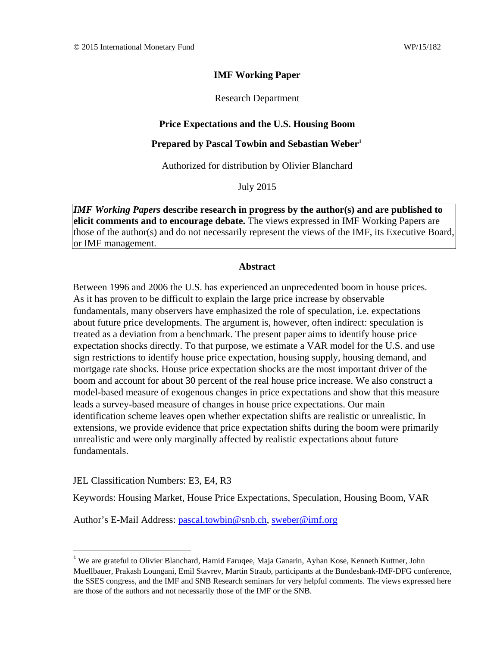#### **IMF Working Paper**

Research Department

#### **Price Expectations and the U.S. Housing Boom**

#### **Prepared by Pascal Towbin and Sebastian Weber1**

Authorized for distribution by Olivier Blanchard

July 2015

*IMF Working Papers* **describe research in progress by the author(s) and are published to elicit comments and to encourage debate.** The views expressed in IMF Working Papers are those of the author(s) and do not necessarily represent the views of the IMF, its Executive Board, or IMF management.

#### **Abstract**

Between 1996 and 2006 the U.S. has experienced an unprecedented boom in house prices. As it has proven to be difficult to explain the large price increase by observable fundamentals, many observers have emphasized the role of speculation, i.e. expectations about future price developments. The argument is, however, often indirect: speculation is treated as a deviation from a benchmark. The present paper aims to identify house price expectation shocks directly. To that purpose, we estimate a VAR model for the U.S. and use sign restrictions to identify house price expectation, housing supply, housing demand, and mortgage rate shocks. House price expectation shocks are the most important driver of the boom and account for about 30 percent of the real house price increase. We also construct a model-based measure of exogenous changes in price expectations and show that this measure leads a survey-based measure of changes in house price expectations. Our main identification scheme leaves open whether expectation shifts are realistic or unrealistic. In extensions, we provide evidence that price expectation shifts during the boom were primarily unrealistic and were only marginally affected by realistic expectations about future fundamentals.

JEL Classification Numbers: E3, E4, R3

Keywords: Housing Market, House Price Expectations, Speculation, Housing Boom, VAR

Author's E-Mail Address: pascal.towbin@snb.ch, sweber@imf.org

<sup>&</sup>lt;sup>1</sup> We are grateful to Olivier Blanchard, Hamid Faruqee, Maja Ganarin, Ayhan Kose, Kenneth Kuttner, John Muellbauer, Prakash Loungani, Emil Stavrev, Martin Straub, participants at the Bundesbank-IMF-DFG conference, the SSES congress, and the IMF and SNB Research seminars for very helpful comments. The views expressed here are those of the authors and not necessarily those of the IMF or the SNB.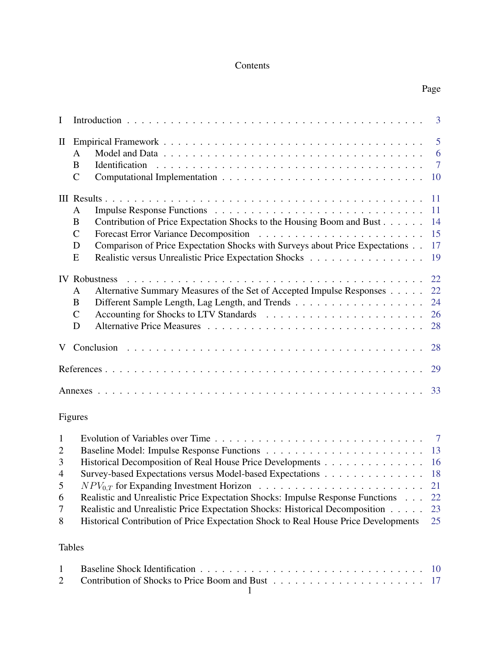# Contents

| $\bf{I}$                                                             |                                                                                                                                                                                                                                                                                          | $\overline{3}$                                      |
|----------------------------------------------------------------------|------------------------------------------------------------------------------------------------------------------------------------------------------------------------------------------------------------------------------------------------------------------------------------------|-----------------------------------------------------|
| $\mathbf{I}$                                                         | A<br>B<br>$\overline{C}$                                                                                                                                                                                                                                                                 | 5<br>6<br>$\overline{7}$<br>10                      |
|                                                                      | A<br>Contribution of Price Expectation Shocks to the Housing Boom and Bust<br>B<br>$\mathbf C$<br>Comparison of Price Expectation Shocks with Surveys about Price Expectations<br>D<br>Realistic versus Unrealistic Price Expectation Shocks<br>${\bf E}$                                | 11<br>11<br>14<br>15<br>17<br>19                    |
|                                                                      | Alternative Summary Measures of the Set of Accepted Impulse Responses<br>A<br>$\bf{B}$<br>$\mathcal{C}$<br>D                                                                                                                                                                             | 22<br>22<br>24<br>26<br>28                          |
|                                                                      |                                                                                                                                                                                                                                                                                          | 28                                                  |
|                                                                      | 29                                                                                                                                                                                                                                                                                       |                                                     |
|                                                                      | 33                                                                                                                                                                                                                                                                                       |                                                     |
|                                                                      | Figures                                                                                                                                                                                                                                                                                  |                                                     |
| $\mathbf{1}$<br>$\overline{2}$<br>3<br>$\overline{4}$<br>5<br>6<br>7 | Historical Decomposition of Real House Price Developments<br>Survey-based Expectations versus Model-based Expectations<br>Realistic and Unrealistic Price Expectation Shocks: Impulse Response Functions<br>Realistic and Unrealistic Price Expectation Shocks: Historical Decomposition | $7\phantom{.0}$<br>13<br>16<br>18<br>21<br>22<br>23 |
| 8                                                                    | Historical Contribution of Price Expectation Shock to Real House Price Developments                                                                                                                                                                                                      | 25                                                  |

# Tables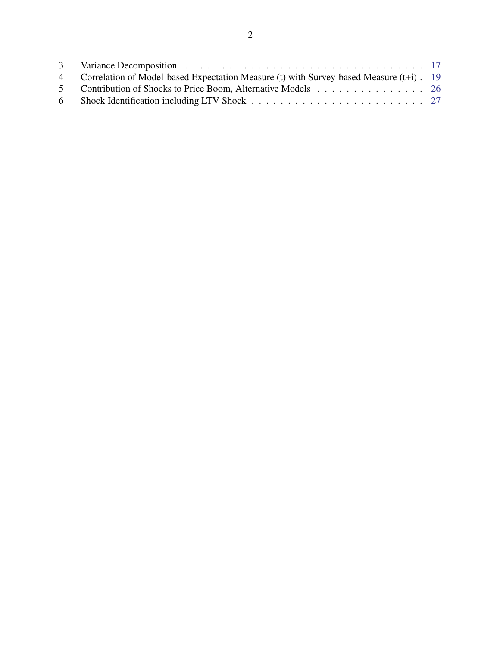| 4 Correlation of Model-based Expectation Measure (t) with Survey-based Measure (t+i). 19 |  |
|------------------------------------------------------------------------------------------|--|
| 5 Contribution of Shocks to Price Boom, Alternative Models 26                            |  |
|                                                                                          |  |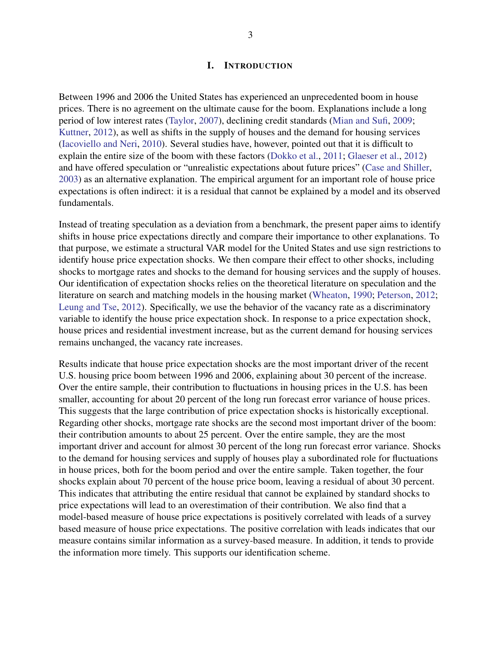#### I. INTRODUCTION

<span id="page-4-0"></span>Between 1996 and 2006 the United States has experienced an unprecedented boom in house prices. There is no agreement on the ultimate cause for the boom. Explanations include a long period of low interest rates [\(Taylor,](#page-32-0) [2007\)](#page-32-0), declining credit standards [\(Mian and Sufi,](#page-32-1) [2009;](#page-32-1) [Kuttner,](#page-31-0) [2012\)](#page-31-0), as well as shifts in the supply of houses and the demand for housing services [\(Iacoviello and Neri,](#page-31-1) [2010\)](#page-31-1). Several studies have, however, pointed out that it is difficult to explain the entire size of the boom with these factors [\(Dokko et al.,](#page-30-0) [2011;](#page-30-0) [Glaeser et al.,](#page-31-2) [2012\)](#page-31-2) and have offered speculation or "unrealistic expectations about future prices" [\(Case and Shiller,](#page-30-1) [2003\)](#page-30-1) as an alternative explanation. The empirical argument for an important role of house price expectations is often indirect: it is a residual that cannot be explained by a model and its observed fundamentals.

Instead of treating speculation as a deviation from a benchmark, the present paper aims to identify shifts in house price expectations directly and compare their importance to other explanations. To that purpose, we estimate a structural VAR model for the United States and use sign restrictions to identify house price expectation shocks. We then compare their effect to other shocks, including shocks to mortgage rates and shocks to the demand for housing services and the supply of houses. Our identification of expectation shocks relies on the theoretical literature on speculation and the literature on search and matching models in the housing market [\(Wheaton,](#page-33-0) [1990;](#page-33-0) [Peterson,](#page-32-2) [2012;](#page-32-2) [Leung and Tse,](#page-32-3) [2012\)](#page-32-3). Specifically, we use the behavior of the vacancy rate as a discriminatory variable to identify the house price expectation shock. In response to a price expectation shock, house prices and residential investment increase, but as the current demand for housing services remains unchanged, the vacancy rate increases.

Results indicate that house price expectation shocks are the most important driver of the recent U.S. housing price boom between 1996 and 2006, explaining about 30 percent of the increase. Over the entire sample, their contribution to fluctuations in housing prices in the U.S. has been smaller, accounting for about 20 percent of the long run forecast error variance of house prices. This suggests that the large contribution of price expectation shocks is historically exceptional. Regarding other shocks, mortgage rate shocks are the second most important driver of the boom: their contribution amounts to about 25 percent. Over the entire sample, they are the most important driver and account for almost 30 percent of the long run forecast error variance. Shocks to the demand for housing services and supply of houses play a subordinated role for fluctuations in house prices, both for the boom period and over the entire sample. Taken together, the four shocks explain about 70 percent of the house price boom, leaving a residual of about 30 percent. This indicates that attributing the entire residual that cannot be explained by standard shocks to price expectations will lead to an overestimation of their contribution. We also find that a model-based measure of house price expectations is positively correlated with leads of a survey based measure of house price expectations. The positive correlation with leads indicates that our measure contains similar information as a survey-based measure. In addition, it tends to provide the information more timely. This supports our identification scheme.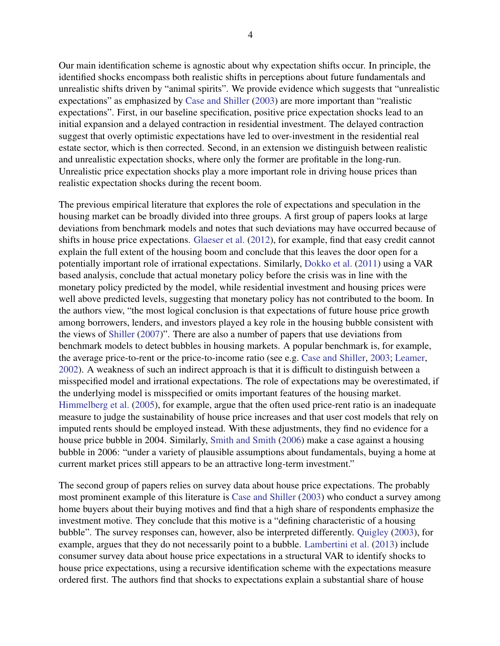Our main identification scheme is agnostic about why expectation shifts occur. In principle, the identified shocks encompass both realistic shifts in perceptions about future fundamentals and unrealistic shifts driven by "animal spirits". We provide evidence which suggests that "unrealistic expectations" as emphasized by [Case and Shiller](#page-30-1) [\(2003\)](#page-30-1) are more important than "realistic expectations". First, in our baseline specification, positive price expectation shocks lead to an initial expansion and a delayed contraction in residential investment. The delayed contraction suggest that overly optimistic expectations have led to over-investment in the residential real estate sector, which is then corrected. Second, in an extension we distinguish between realistic and unrealistic expectation shocks, where only the former are profitable in the long-run. Unrealistic price expectation shocks play a more important role in driving house prices than realistic expectation shocks during the recent boom.

The previous empirical literature that explores the role of expectations and speculation in the housing market can be broadly divided into three groups. A first group of papers looks at large deviations from benchmark models and notes that such deviations may have occurred because of shifts in house price expectations. [Glaeser et al.](#page-31-2) [\(2012\)](#page-31-2), for example, find that easy credit cannot explain the full extent of the housing boom and conclude that this leaves the door open for a potentially important role of irrational expectations. Similarly, [Dokko et al.](#page-30-0) [\(2011\)](#page-30-0) using a VAR based analysis, conclude that actual monetary policy before the crisis was in line with the monetary policy predicted by the model, while residential investment and housing prices were well above predicted levels, suggesting that monetary policy has not contributed to the boom. In the authors view, "the most logical conclusion is that expectations of future house price growth among borrowers, lenders, and investors played a key role in the housing bubble consistent with the views of [Shiller](#page-32-4) [\(2007\)](#page-32-4)". There are also a number of papers that use deviations from benchmark models to detect bubbles in housing markets. A popular benchmark is, for example, the average price-to-rent or the price-to-income ratio (see e.g. [Case and Shiller,](#page-30-1) [2003;](#page-30-1) [Leamer,](#page-32-5) [2002\)](#page-32-5). A weakness of such an indirect approach is that it is difficult to distinguish between a misspecified model and irrational expectations. The role of expectations may be overestimated, if the underlying model is misspecified or omits important features of the housing market. [Himmelberg et al.](#page-31-3) [\(2005\)](#page-31-3), for example, argue that the often used price-rent ratio is an inadequate measure to judge the sustainability of house price increases and that user cost models that rely on imputed rents should be employed instead. With these adjustments, they find no evidence for a house price bubble in 2004. Similarly, [Smith and Smith](#page-32-6) [\(2006\)](#page-32-6) make a case against a housing bubble in 2006: "under a variety of plausible assumptions about fundamentals, buying a home at current market prices still appears to be an attractive long-term investment."

The second group of papers relies on survey data about house price expectations. The probably most prominent example of this literature is [Case and Shiller](#page-30-1) [\(2003\)](#page-30-1) who conduct a survey among home buyers about their buying motives and find that a high share of respondents emphasize the investment motive. They conclude that this motive is a "defining characteristic of a housing bubble". The survey responses can, however, also be interpreted differently. [Quigley](#page-32-7) [\(2003\)](#page-32-7), for example, argues that they do not necessarily point to a bubble. [Lambertini et al.](#page-31-4) [\(2013\)](#page-31-4) include consumer survey data about house price expectations in a structural VAR to identify shocks to house price expectations, using a recursive identification scheme with the expectations measure ordered first. The authors find that shocks to expectations explain a substantial share of house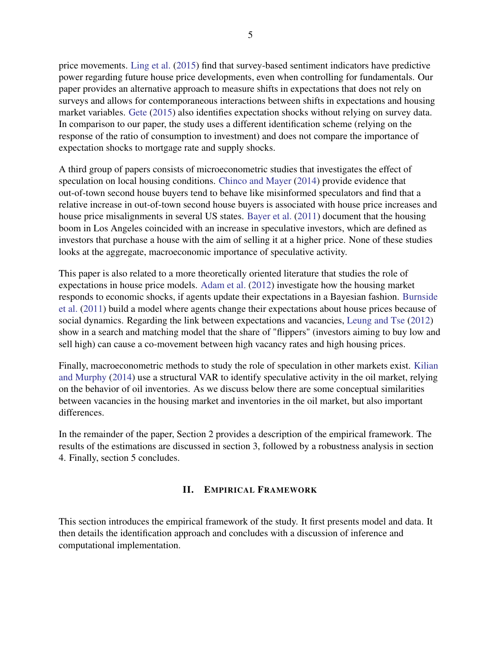price movements. [Ling et al.](#page-32-8) [\(2015\)](#page-32-8) find that survey-based sentiment indicators have predictive power regarding future house price developments, even when controlling for fundamentals. Our paper provides an alternative approach to measure shifts in expectations that does not rely on surveys and allows for contemporaneous interactions between shifts in expectations and housing market variables. [Gete](#page-31-5) [\(2015\)](#page-31-5) also identifies expectation shocks without relying on survey data. In comparison to our paper, the study uses a different identification scheme (relying on the response of the ratio of consumption to investment) and does not compare the importance of expectation shocks to mortgage rate and supply shocks.

A third group of papers consists of microeconometric studies that investigates the effect of speculation on local housing conditions. [Chinco and Mayer](#page-30-2) [\(2014\)](#page-30-2) provide evidence that out-of-town second house buyers tend to behave like misinformed speculators and find that a relative increase in out-of-town second house buyers is associated with house price increases and house price misalignments in several US states. [Bayer et al.](#page-30-3) [\(2011\)](#page-30-3) document that the housing boom in Los Angeles coincided with an increase in speculative investors, which are defined as investors that purchase a house with the aim of selling it at a higher price. None of these studies looks at the aggregate, macroeconomic importance of speculative activity.

This paper is also related to a more theoretically oriented literature that studies the role of expectations in house price models. [Adam et al.](#page-29-2) [\(2012\)](#page-29-2) investigate how the housing market responds to economic shocks, if agents update their expectations in a Bayesian fashion. [Burnside](#page-30-4) [et al.](#page-30-4) [\(2011\)](#page-30-4) build a model where agents change their expectations about house prices because of social dynamics. Regarding the link between expectations and vacancies, [Leung and Tse](#page-32-3) [\(2012\)](#page-32-3) show in a search and matching model that the share of "flippers" (investors aiming to buy low and sell high) can cause a co-movement between high vacancy rates and high housing prices.

Finally, macroeconometric methods to study the role of speculation in other markets exist. [Kilian](#page-31-6) [and Murphy](#page-31-6) [\(2014\)](#page-31-6) use a structural VAR to identify speculative activity in the oil market, relying on the behavior of oil inventories. As we discuss below there are some conceptual similarities between vacancies in the housing market and inventories in the oil market, but also important differences.

In the remainder of the paper, Section 2 provides a description of the empirical framework. The results of the estimations are discussed in section 3, followed by a robustness analysis in section 4. Finally, section 5 concludes.

#### II. EMPIRICAL FRAMEWORK

<span id="page-6-0"></span>This section introduces the empirical framework of the study. It first presents model and data. It then details the identification approach and concludes with a discussion of inference and computational implementation.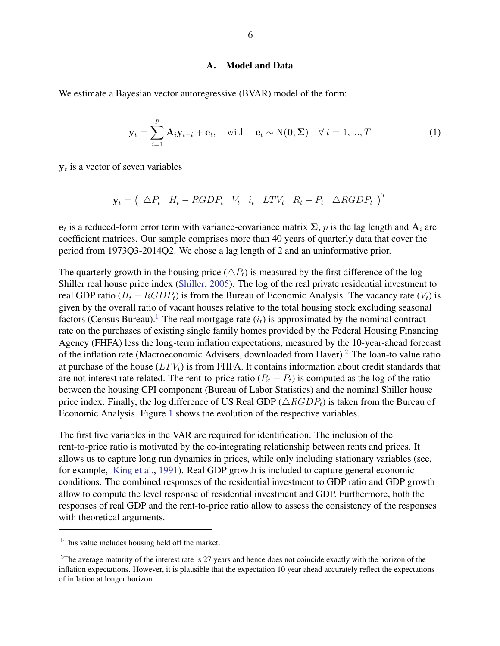#### A. Model and Data

<span id="page-7-0"></span>We estimate a Bayesian vector autoregressive (BVAR) model of the form:

$$
\mathbf{y}_t = \sum_{i=1}^p \mathbf{A}_i \mathbf{y}_{t-i} + \mathbf{e}_t, \quad \text{with} \quad \mathbf{e}_t \sim \mathcal{N}(\mathbf{0}, \boldsymbol{\Sigma}) \quad \forall \ t = 1, ..., T
$$
 (1)

 $y_t$  is a vector of seven variables

$$
\mathbf{y}_t = \left(\begin{array}{cccccc}\Delta P_t & H_t - RGB P_t & V_t & i_t & LTV_t & R_t - P_t & \Delta RGB P_t\end{array}\right)^T
$$

 $e_t$  is a reduced-form error term with variance-covariance matrix  $\Sigma$ , p is the lag length and  $\mathbf{A}_i$  are coefficient matrices. Our sample comprises more than 40 years of quarterly data that cover the period from 1973Q3-2014Q2. We chose a lag length of 2 and an uninformative prior.

The quarterly growth in the housing price  $(\triangle P_t)$  is measured by the first difference of the log Shiller real house price index [\(Shiller,](#page-32-9) [2005\)](#page-32-9). The log of the real private residential investment to real GDP ratio ( $H_t - RGDP_t$ ) is from the Bureau of Economic Analysis. The vacancy rate ( $V_t$ ) is given by the overall ratio of vacant houses relative to the total housing stock excluding seasonal factors (Census Bureau).<sup>[1](#page-7-1)</sup> The real mortgage rate  $(i_t)$  is approximated by the nominal contract rate on the purchases of existing single family homes provided by the Federal Housing Financing Agency (FHFA) less the long-term inflation expectations, measured by the 10-year-ahead forecast of the inflation rate (Macroeconomic Advisers, downloaded from Haver).[2](#page-7-2) The loan-to value ratio at purchase of the house  $(LTV_t)$  is from FHFA. It contains information about credit standards that are not interest rate related. The rent-to-price ratio  $(R_t - P_t)$  is computed as the log of the ratio between the housing CPI component (Bureau of Labor Statistics) and the nominal Shiller house price index. Finally, the log difference of US Real GDP ( $\triangle RGDP_t$ ) is taken from the Bureau of Economic Analysis. Figure [1](#page-8-1) shows the evolution of the respective variables.

The first five variables in the VAR are required for identification. The inclusion of the rent-to-price ratio is motivated by the co-integrating relationship between rents and prices. It allows us to capture long run dynamics in prices, while only including stationary variables (see, for example, [King et al.,](#page-31-7) [1991\)](#page-31-7). Real GDP growth is included to capture general economic conditions. The combined responses of the residential investment to GDP ratio and GDP growth allow to compute the level response of residential investment and GDP. Furthermore, both the responses of real GDP and the rent-to-price ratio allow to assess the consistency of the responses with theoretical arguments.

<span id="page-7-1"></span><sup>&</sup>lt;sup>1</sup>This value includes housing held off the market.

<span id="page-7-2"></span><sup>&</sup>lt;sup>2</sup>The average maturity of the interest rate is 27 years and hence does not coincide exactly with the horizon of the inflation expectations. However, it is plausible that the expectation 10 year ahead accurately reflect the expectations of inflation at longer horizon.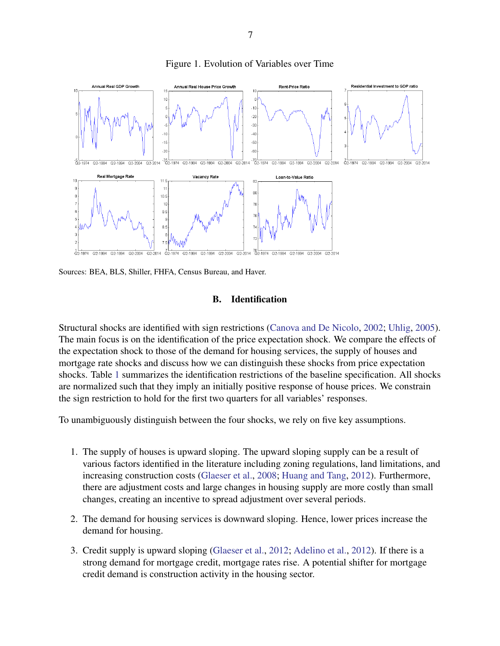<span id="page-8-1"></span>

Figure 1. Evolution of Variables over Time

<span id="page-8-0"></span>Sources: BEA, BLS, Shiller, FHFA, Census Bureau, and Haver.

#### B. Identification

Structural shocks are identified with sign restrictions [\(Canova and De Nicolo,](#page-30-5) [2002;](#page-30-5) [Uhlig,](#page-32-10) [2005\)](#page-32-10). The main focus is on the identification of the price expectation shock. We compare the effects of the expectation shock to those of the demand for housing services, the supply of houses and mortgage rate shocks and discuss how we can distinguish these shocks from price expectation shocks. Table [1](#page-11-1) summarizes the identification restrictions of the baseline specification. All shocks are normalized such that they imply an initially positive response of house prices. We constrain the sign restriction to hold for the first two quarters for all variables' responses.

To unambiguously distinguish between the four shocks, we rely on five key assumptions.

- 1. The supply of houses is upward sloping. The upward sloping supply can be a result of various factors identified in the literature including zoning regulations, land limitations, and increasing construction costs [\(Glaeser et al.,](#page-31-8) [2008;](#page-31-8) [Huang and Tang,](#page-31-9) [2012\)](#page-31-9). Furthermore, there are adjustment costs and large changes in housing supply are more costly than small changes, creating an incentive to spread adjustment over several periods.
- 2. The demand for housing services is downward sloping. Hence, lower prices increase the demand for housing.
- 3. Credit supply is upward sloping [\(Glaeser et al.,](#page-31-2) [2012;](#page-31-2) [Adelino et al.,](#page-30-6) [2012\)](#page-30-6). If there is a strong demand for mortgage credit, mortgage rates rise. A potential shifter for mortgage credit demand is construction activity in the housing sector.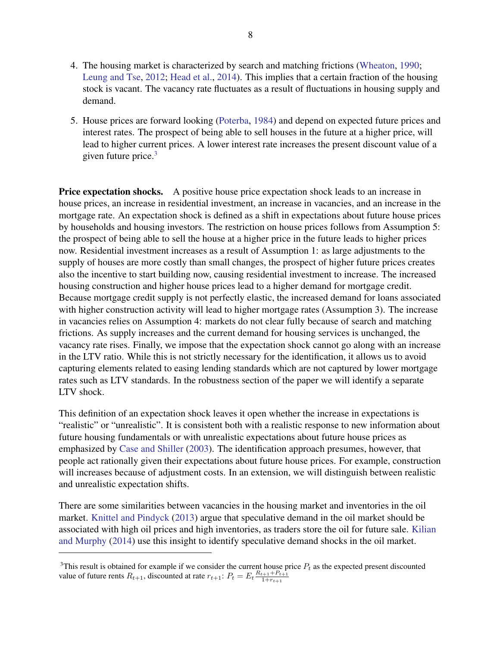- 4. The housing market is characterized by search and matching frictions [\(Wheaton,](#page-33-0) [1990;](#page-33-0) [Leung and Tse,](#page-32-3) [2012;](#page-32-3) [Head et al.,](#page-31-10) [2014\)](#page-31-10). This implies that a certain fraction of the housing stock is vacant. The vacancy rate fluctuates as a result of fluctuations in housing supply and demand.
- 5. House prices are forward looking [\(Poterba,](#page-32-11) [1984\)](#page-32-11) and depend on expected future prices and interest rates. The prospect of being able to sell houses in the future at a higher price, will lead to higher current prices. A lower interest rate increases the present discount value of a given future price.[3](#page-9-0)

**Price expectation shocks.** A positive house price expectation shock leads to an increase in house prices, an increase in residential investment, an increase in vacancies, and an increase in the mortgage rate. An expectation shock is defined as a shift in expectations about future house prices by households and housing investors. The restriction on house prices follows from Assumption 5: the prospect of being able to sell the house at a higher price in the future leads to higher prices now. Residential investment increases as a result of Assumption 1: as large adjustments to the supply of houses are more costly than small changes, the prospect of higher future prices creates also the incentive to start building now, causing residential investment to increase. The increased housing construction and higher house prices lead to a higher demand for mortgage credit. Because mortgage credit supply is not perfectly elastic, the increased demand for loans associated with higher construction activity will lead to higher mortgage rates (Assumption 3). The increase in vacancies relies on Assumption 4: markets do not clear fully because of search and matching frictions. As supply increases and the current demand for housing services is unchanged, the vacancy rate rises. Finally, we impose that the expectation shock cannot go along with an increase in the LTV ratio. While this is not strictly necessary for the identification, it allows us to avoid capturing elements related to easing lending standards which are not captured by lower mortgage rates such as LTV standards. In the robustness section of the paper we will identify a separate LTV shock.

This definition of an expectation shock leaves it open whether the increase in expectations is "realistic" or "unrealistic". It is consistent both with a realistic response to new information about future housing fundamentals or with unrealistic expectations about future house prices as emphasized by [Case and Shiller](#page-30-1) [\(2003\)](#page-30-1). The identification approach presumes, however, that people act rationally given their expectations about future house prices. For example, construction will increases because of adjustment costs. In an extension, we will distinguish between realistic and unrealistic expectation shifts.

There are some similarities between vacancies in the housing market and inventories in the oil market. [Knittel and Pindyck](#page-31-11) [\(2013\)](#page-31-11) argue that speculative demand in the oil market should be associated with high oil prices and high inventories, as traders store the oil for future sale. [Kilian](#page-31-6) [and Murphy](#page-31-6) [\(2014\)](#page-31-6) use this insight to identify speculative demand shocks in the oil market.

<span id="page-9-0"></span><sup>&</sup>lt;sup>3</sup>This result is obtained for example if we consider the current house price  $P_t$  as the expected present discounted value of future rents  $R_{t+1}$ , discounted at rate  $r_{t+1}$ :  $P_t = E_t \frac{R_{t+1} + P_{t+1}}{1 + r_{t+1}}$  $1 + r_{t+1}$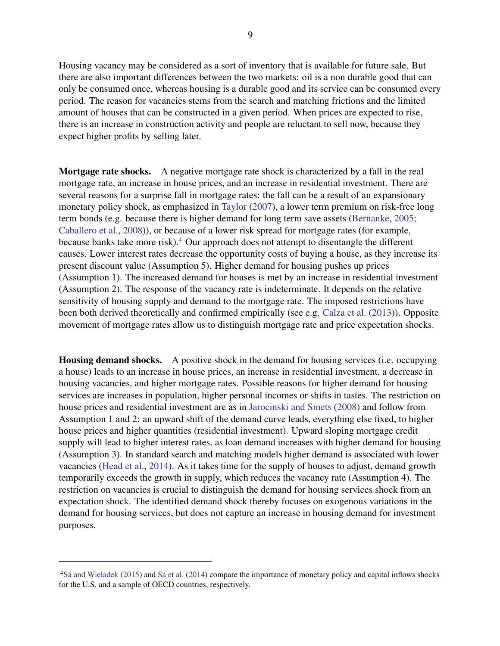Housing vacancy may be considered as a sort of inventory that is available for future sale. But there are also important differences between the two markets: oil is a non durable good that can only be consumed once, whereas housing is a durable good and its service can be consumed every period. The reason for vacancies stems from the search and matching frictions and the limited amount of houses that can be constructed in a given period. When prices are expected to rise, there is an increase in construction activity and people are reluctant to sell now, because they expect higher profits by selling later.

Mortgage rate shocks. A negative mortgage rate shock is characterized by a fall in the real mortgage rate, an increase in house prices, and an increase in residential investment. There are several reasons for a surprise fall in mortgage rates: the fall can be a result of an expansionary monetary policy shock, as emphasized in [Taylor](#page-32-0) [\(2007\)](#page-32-0), a lower term premium on risk-free long term bonds (e.g. because there is higher demand for long term save assets [\(Bernanke,](#page-30-7) [2005;](#page-30-7) [Caballero et al.,](#page-30-8) [2008\)](#page-30-8)), or because of a lower risk spread for mortgage rates (for example, because banks take more risk).<sup>[4](#page-10-0)</sup> Our approach does not attempt to disentangle the different causes. Lower interest rates decrease the opportunity costs of buying a house, as they increase its present discount value (Assumption 5). Higher demand for housing pushes up prices (Assumption 1). The increased demand for houses is met by an increase in residential investment (Assumption 2). The response of the vacancy rate is indeterminate. It depends on the relative sensitivity of housing supply and demand to the mortgage rate. The imposed restrictions have been both derived theoretically and confirmed empirically (see e.g. [Calza et al.](#page-30-9) [\(2013\)](#page-30-9)). Opposite movement of mortgage rates allow us to distinguish mortgage rate and price expectation shocks.

Housing demand shocks. A positive shock in the demand for housing services (i.e. occupying a house) leads to an increase in house prices, an increase in residential investment, a decrease in housing vacancies, and higher mortgage rates. Possible reasons for higher demand for housing services are increases in population, higher personal incomes or shifts in tastes. The restriction on house prices and residential investment are as in [Jarocinski and Smets](#page-31-12) [\(2008\)](#page-31-12) and follow from Assumption 1 and 2: an upward shift of the demand curve leads, everything else fixed, to higher house prices and higher quantities (residential investment). Upward sloping mortgage credit supply will lead to higher interest rates, as loan demand increases with higher demand for housing (Assumption 3). In standard search and matching models higher demand is associated with lower vacancies [\(Head et al.,](#page-31-10) [2014\)](#page-31-10). As it takes time for the supply of houses to adjust, demand growth temporarily exceeds the growth in supply, which reduces the vacancy rate (Assumption 4). The restriction on vacancies is crucial to distinguish the demand for housing services shock from an expectation shock. The identified demand shock thereby focuses on exogenous variations in the demand for housing services, but does not capture an increase in housing demand for investment purposes.

<span id="page-10-0"></span><sup>4</sup>[Sá and Wieladek](#page-32-12) [\(2015\)](#page-32-12) and [Sá et al.](#page-32-13) [\(2014\)](#page-32-13) compare the importance of monetary policy and capital inflows shocks for the U.S. and a sample of OECD countries, respectively.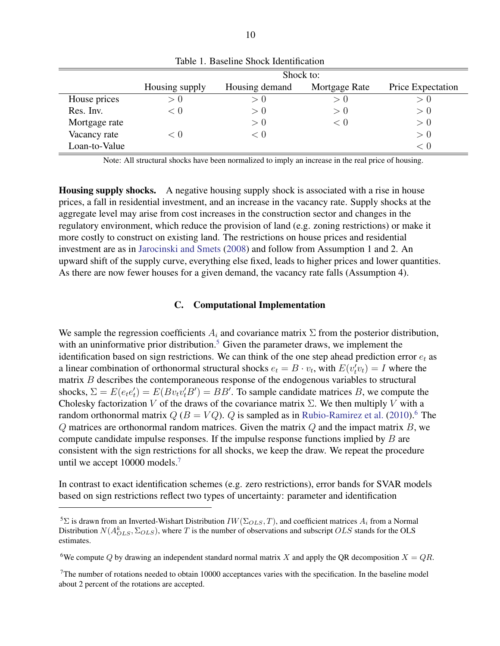<span id="page-11-1"></span>

|               | Shock to:      |                |               |                   |  |  |  |
|---------------|----------------|----------------|---------------|-------------------|--|--|--|
|               | Housing supply | Housing demand | Mortgage Rate | Price Expectation |  |  |  |
| House prices  | > 0            | > 0            | > U           | > 0               |  |  |  |
| Res. Inv.     | < 0            | > 0            | > 0           | > 0               |  |  |  |
| Mortgage rate |                | $\geq 0$       | < 0           | > 0               |  |  |  |
| Vacancy rate  | 7 O            | < 0            |               | > 0               |  |  |  |
| Loan-to-Value |                |                |               | < 0               |  |  |  |

Table 1. Baseline Shock Identification

Note: All structural shocks have been normalized to imply an increase in the real price of housing.

Housing supply shocks. A negative housing supply shock is associated with a rise in house prices, a fall in residential investment, and an increase in the vacancy rate. Supply shocks at the aggregate level may arise from cost increases in the construction sector and changes in the regulatory environment, which reduce the provision of land (e.g. zoning restrictions) or make it more costly to construct on existing land. The restrictions on house prices and residential investment are as in [Jarocinski and Smets](#page-31-12) [\(2008\)](#page-31-12) and follow from Assumption 1 and 2. An upward shift of the supply curve, everything else fixed, leads to higher prices and lower quantities. As there are now fewer houses for a given demand, the vacancy rate falls (Assumption 4).

#### C. Computational Implementation

<span id="page-11-0"></span>We sample the regression coefficients  $A_i$  and covariance matrix  $\Sigma$  from the posterior distribution, with an uninformative prior distribution.<sup>[5](#page-11-2)</sup> Given the parameter draws, we implement the identification based on sign restrictions. We can think of the one step ahead prediction error  $e_t$  as a linear combination of orthonormal structural shocks  $e_t = B \cdot v_t$ , with  $E(v_t^{\prime} v_t) = I$  where the matrix B describes the contemporaneous response of the endogenous variables to structural shocks,  $\Sigma = E(e_t e_t') = E(Bv_t v_t' B') = BB'$ . To sample candidate matrices B, we compute the Cholesky factorization V of the draws of the covariance matrix  $\Sigma$ . We then multiply V with a random orthonormal matrix  $Q(B = VQ)$ . Q is sampled as in [Rubio-Ramirez et al.](#page-32-14) [\(2010\)](#page-32-14).<sup>[6](#page-11-3)</sup> The  $Q$  matrices are orthonormal random matrices. Given the matrix  $Q$  and the impact matrix  $B$ , we compute candidate impulse responses. If the impulse response functions implied by B are consistent with the sign restrictions for all shocks, we keep the draw. We repeat the procedure until we accept 10000 models.<sup>[7](#page-11-4)</sup>

In contrast to exact identification schemes (e.g. zero restrictions), error bands for SVAR models based on sign restrictions reflect two types of uncertainty: parameter and identification

<span id="page-11-3"></span><sup>6</sup>We compute Q by drawing an independent standard normal matrix X and apply the QR decomposition  $X = QR$ .

<span id="page-11-4"></span> $7$ The number of rotations needed to obtain 10000 acceptances varies with the specification. In the baseline model about 2 percent of the rotations are accepted.

<span id="page-11-2"></span><sup>&</sup>lt;sup>5</sup>Σ is drawn from an Inverted-Wishart Distribution  $IW(\Sigma_{OLS}, T)$ , and coefficient matrices  $A_i$  from a Normal Distribution  $N(A_{OLS}^k, \Sigma_{OLS})$ , where T is the number of observations and subscript  $OLS$  stands for the OLS estimates.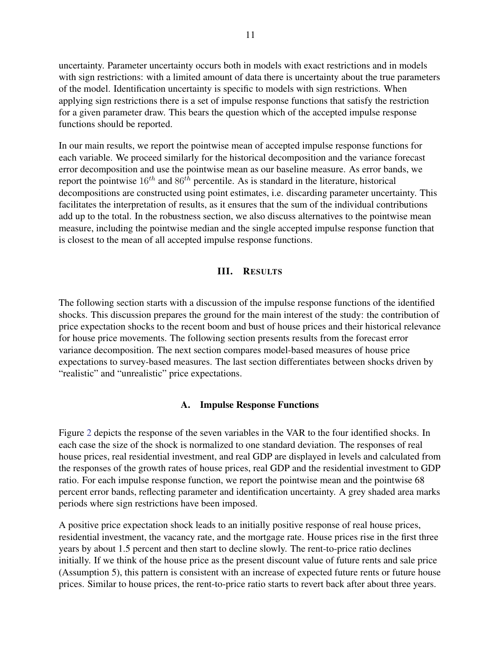uncertainty. Parameter uncertainty occurs both in models with exact restrictions and in models with sign restrictions: with a limited amount of data there is uncertainty about the true parameters of the model. Identification uncertainty is specific to models with sign restrictions. When applying sign restrictions there is a set of impulse response functions that satisfy the restriction for a given parameter draw. This bears the question which of the accepted impulse response functions should be reported.

In our main results, we report the pointwise mean of accepted impulse response functions for each variable. We proceed similarly for the historical decomposition and the variance forecast error decomposition and use the pointwise mean as our baseline measure. As error bands, we report the pointwise  $16^{th}$  and  $86^{th}$  percentile. As is standard in the literature, historical decompositions are constructed using point estimates, i.e. discarding parameter uncertainty. This facilitates the interpretation of results, as it ensures that the sum of the individual contributions add up to the total. In the robustness section, we also discuss alternatives to the pointwise mean measure, including the pointwise median and the single accepted impulse response function that is closest to the mean of all accepted impulse response functions.

#### III. RESULTS

<span id="page-12-0"></span>The following section starts with a discussion of the impulse response functions of the identified shocks. This discussion prepares the ground for the main interest of the study: the contribution of price expectation shocks to the recent boom and bust of house prices and their historical relevance for house price movements. The following section presents results from the forecast error variance decomposition. The next section compares model-based measures of house price expectations to survey-based measures. The last section differentiates between shocks driven by "realistic" and "unrealistic" price expectations.

#### A. Impulse Response Functions

<span id="page-12-1"></span>Figure [2](#page-14-0) depicts the response of the seven variables in the VAR to the four identified shocks. In each case the size of the shock is normalized to one standard deviation. The responses of real house prices, real residential investment, and real GDP are displayed in levels and calculated from the responses of the growth rates of house prices, real GDP and the residential investment to GDP ratio. For each impulse response function, we report the pointwise mean and the pointwise 68 percent error bands, reflecting parameter and identification uncertainty. A grey shaded area marks periods where sign restrictions have been imposed.

A positive price expectation shock leads to an initially positive response of real house prices, residential investment, the vacancy rate, and the mortgage rate. House prices rise in the first three years by about 1.5 percent and then start to decline slowly. The rent-to-price ratio declines initially. If we think of the house price as the present discount value of future rents and sale price (Assumption 5), this pattern is consistent with an increase of expected future rents or future house prices. Similar to house prices, the rent-to-price ratio starts to revert back after about three years.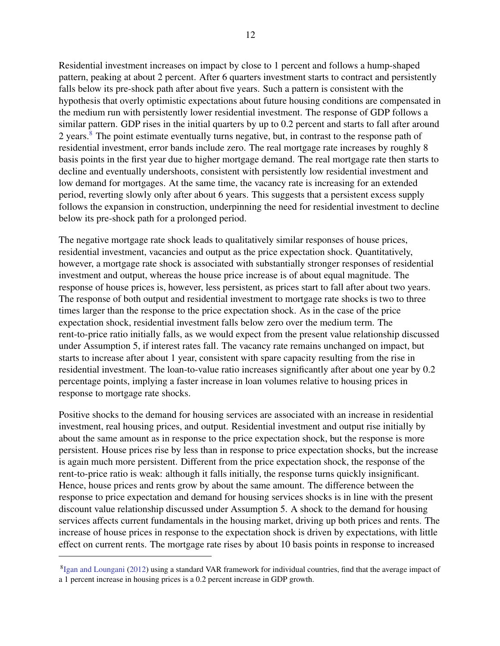Residential investment increases on impact by close to 1 percent and follows a hump-shaped pattern, peaking at about 2 percent. After 6 quarters investment starts to contract and persistently falls below its pre-shock path after about five years. Such a pattern is consistent with the hypothesis that overly optimistic expectations about future housing conditions are compensated in the medium run with persistently lower residential investment. The response of GDP follows a similar pattern. GDP rises in the initial quarters by up to 0.2 percent and starts to fall after around 2 years.[8](#page-13-0) The point estimate eventually turns negative, but, in contrast to the response path of residential investment, error bands include zero. The real mortgage rate increases by roughly 8 basis points in the first year due to higher mortgage demand. The real mortgage rate then starts to decline and eventually undershoots, consistent with persistently low residential investment and low demand for mortgages. At the same time, the vacancy rate is increasing for an extended period, reverting slowly only after about 6 years. This suggests that a persistent excess supply follows the expansion in construction, underpinning the need for residential investment to decline below its pre-shock path for a prolonged period.

The negative mortgage rate shock leads to qualitatively similar responses of house prices, residential investment, vacancies and output as the price expectation shock. Quantitatively, however, a mortgage rate shock is associated with substantially stronger responses of residential investment and output, whereas the house price increase is of about equal magnitude. The response of house prices is, however, less persistent, as prices start to fall after about two years. The response of both output and residential investment to mortgage rate shocks is two to three times larger than the response to the price expectation shock. As in the case of the price expectation shock, residential investment falls below zero over the medium term. The rent-to-price ratio initially falls, as we would expect from the present value relationship discussed under Assumption 5, if interest rates fall. The vacancy rate remains unchanged on impact, but starts to increase after about 1 year, consistent with spare capacity resulting from the rise in residential investment. The loan-to-value ratio increases significantly after about one year by 0.2 percentage points, implying a faster increase in loan volumes relative to housing prices in response to mortgage rate shocks.

Positive shocks to the demand for housing services are associated with an increase in residential investment, real housing prices, and output. Residential investment and output rise initially by about the same amount as in response to the price expectation shock, but the response is more persistent. House prices rise by less than in response to price expectation shocks, but the increase is again much more persistent. Different from the price expectation shock, the response of the rent-to-price ratio is weak: although it falls initially, the response turns quickly insignificant. Hence, house prices and rents grow by about the same amount. The difference between the response to price expectation and demand for housing services shocks is in line with the present discount value relationship discussed under Assumption 5. A shock to the demand for housing services affects current fundamentals in the housing market, driving up both prices and rents. The increase of house prices in response to the expectation shock is driven by expectations, with little effect on current rents. The mortgage rate rises by about 10 basis points in response to increased

<span id="page-13-0"></span><sup>&</sup>lt;sup>8</sup>[Igan and Loungani](#page-31-13) [\(2012\)](#page-31-13) using a standard VAR framework for individual countries, find that the average impact of a 1 percent increase in housing prices is a 0.2 percent increase in GDP growth.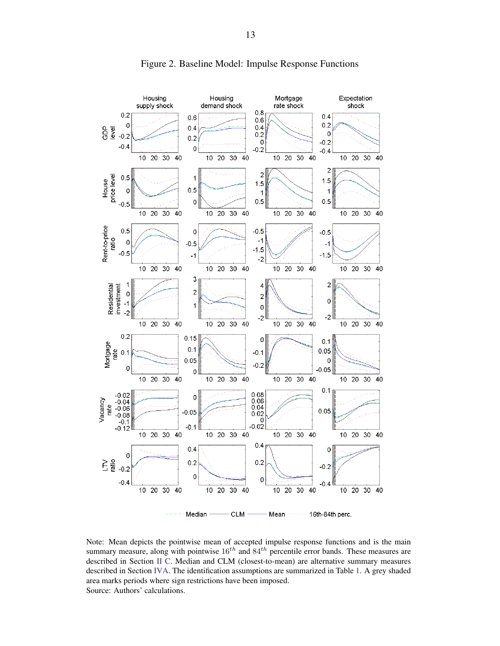<span id="page-14-0"></span>

Figure 2. Baseline Model: Impulse Response Functions

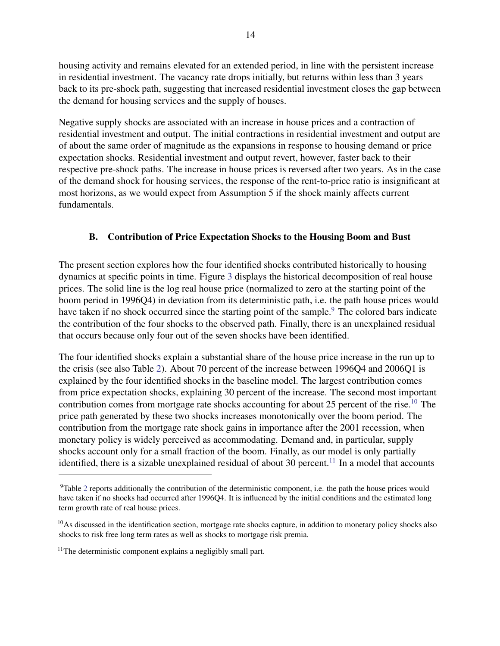housing activity and remains elevated for an extended period, in line with the persistent increase in residential investment. The vacancy rate drops initially, but returns within less than 3 years back to its pre-shock path, suggesting that increased residential investment closes the gap between the demand for housing services and the supply of houses.

Negative supply shocks are associated with an increase in house prices and a contraction of residential investment and output. The initial contractions in residential investment and output are of about the same order of magnitude as the expansions in response to housing demand or price expectation shocks. Residential investment and output revert, however, faster back to their respective pre-shock paths. The increase in house prices is reversed after two years. As in the case of the demand shock for housing services, the response of the rent-to-price ratio is insignificant at most horizons, as we would expect from Assumption 5 if the shock mainly affects current fundamentals.

## <span id="page-15-0"></span>B. Contribution of Price Expectation Shocks to the Housing Boom and Bust

The present section explores how the four identified shocks contributed historically to housing dynamics at specific points in time. Figure [3](#page-16-0) displays the historical decomposition of real house prices. The solid line is the log real house price (normalized to zero at the starting point of the boom period in 1996Q4) in deviation from its deterministic path, i.e. the path house prices would have taken if no shock occurred since the starting point of the sample.<sup>[9](#page-15-1)</sup> The colored bars indicate the contribution of the four shocks to the observed path. Finally, there is an unexplained residual that occurs because only four out of the seven shocks have been identified.

The four identified shocks explain a substantial share of the house price increase in the run up to the crisis (see also Table [2\)](#page-17-1). About 70 percent of the increase between 1996Q4 and 2006Q1 is explained by the four identified shocks in the baseline model. The largest contribution comes from price expectation shocks, explaining 30 percent of the increase. The second most important contribution comes from mortgage rate shocks accounting for about 25 percent of the rise.<sup>[10](#page-15-2)</sup> The price path generated by these two shocks increases monotonically over the boom period. The contribution from the mortgage rate shock gains in importance after the 2001 recession, when monetary policy is widely perceived as accommodating. Demand and, in particular, supply shocks account only for a small fraction of the boom. Finally, as our model is only partially identified, there is a sizable unexplained residual of about 30 percent.<sup>[11](#page-15-3)</sup> In a model that accounts

<span id="page-15-1"></span><sup>9</sup>Table [2](#page-17-1) reports additionally the contribution of the deterministic component, i.e. the path the house prices would have taken if no shocks had occurred after 1996Q4. It is influenced by the initial conditions and the estimated long term growth rate of real house prices.

<span id="page-15-2"></span> $10$ As discussed in the identification section, mortgage rate shocks capture, in addition to monetary policy shocks also shocks to risk free long term rates as well as shocks to mortgage risk premia.

<span id="page-15-3"></span> $11$ The deterministic component explains a negligibly small part.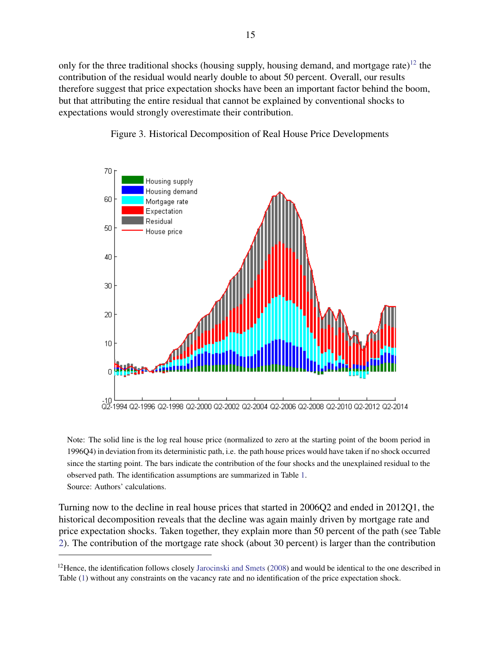only for the three traditional shocks (housing supply, housing demand, and mortgage rate)<sup>[12](#page-16-1)</sup> the contribution of the residual would nearly double to about 50 percent. Overall, our results therefore suggest that price expectation shocks have been an important factor behind the boom, but that attributing the entire residual that cannot be explained by conventional shocks to expectations would strongly overestimate their contribution.

<span id="page-16-0"></span>



Note: The solid line is the log real house price (normalized to zero at the starting point of the boom period in 1996Q4) in deviation from its deterministic path, i.e. the path house prices would have taken if no shock occurred since the starting point. The bars indicate the contribution of the four shocks and the unexplained residual to the observed path. The identification assumptions are summarized in Table [1.](#page-11-1) Source: Authors' calculations.

Turning now to the decline in real house prices that started in 2006Q2 and ended in 2012Q1, the historical decomposition reveals that the decline was again mainly driven by mortgage rate and price expectation shocks. Taken together, they explain more than 50 percent of the path (see Table [2\)](#page-17-1). The contribution of the mortgage rate shock (about 30 percent) is larger than the contribution

<span id="page-16-1"></span> $12$ Hence, the identification follows closely [Jarocinski and Smets](#page-31-12) [\(2008\)](#page-31-12) and would be identical to the one described in Table [\(1\)](#page-11-1) without any constraints on the vacancy rate and no identification of the price expectation shock.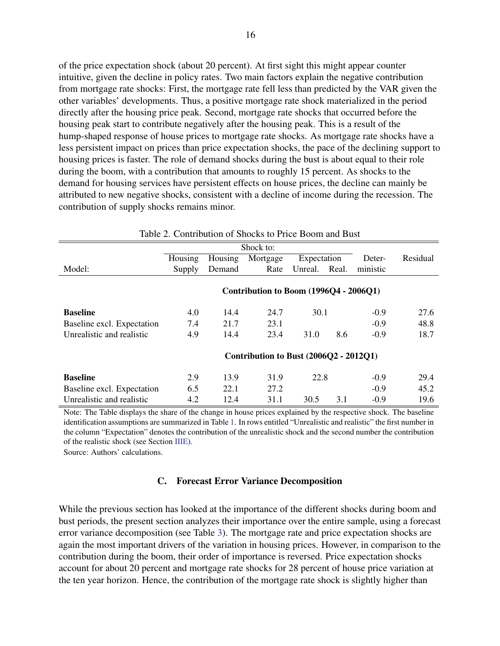of the price expectation shock (about 20 percent). At first sight this might appear counter intuitive, given the decline in policy rates. Two main factors explain the negative contribution from mortgage rate shocks: First, the mortgage rate fell less than predicted by the VAR given the other variables' developments. Thus, a positive mortgage rate shock materialized in the period directly after the housing price peak. Second, mortgage rate shocks that occurred before the housing peak start to contribute negatively after the housing peak. This is a result of the hump-shaped response of house prices to mortgage rate shocks. As mortgage rate shocks have a less persistent impact on prices than price expectation shocks, the pace of the declining support to housing prices is faster. The role of demand shocks during the bust is about equal to their role during the boom, with a contribution that amounts to roughly 15 percent. As shocks to the demand for housing services have persistent effects on house prices, the decline can mainly be attributed to new negative shocks, consistent with a decline of income during the recession. The contribution of supply shocks remains minor.

<span id="page-17-1"></span>

| Table 2. Contribution of Shocks to Price Boom and Bust |         |         |                                        |             |       |          |          |
|--------------------------------------------------------|---------|---------|----------------------------------------|-------------|-------|----------|----------|
| Shock to:                                              |         |         |                                        |             |       |          |          |
|                                                        | Housing | Housing | Mortgage                               | Expectation |       | Deter-   | Residual |
| Model:                                                 | Supply  | Demand  | Rate                                   | Unreal.     | Real. | ministic |          |
|                                                        |         |         |                                        |             |       |          |          |
|                                                        |         |         | Contribution to Boom (1996Q4 - 2006Q1) |             |       |          |          |
| <b>Baseline</b>                                        | 4.0     | 14.4    | 24.7                                   | 30.1        |       | $-0.9$   | 27.6     |
| Baseline excl. Expectation                             | 7.4     | 21.7    | 23.1                                   |             |       | $-0.9$   | 48.8     |
| Unrealistic and realistic                              | 4.9     | 14.4    | 23.4                                   | 31.0        | 8.6   | $-0.9$   | 18.7     |
|                                                        |         |         | Contribution to Bust (2006Q2 - 2012Q1) |             |       |          |          |
| <b>Baseline</b>                                        | 2.9     | 13.9    | 31.9                                   | 22.8        |       | $-0.9$   | 29.4     |
| Baseline excl. Expectation                             | 6.5     | 22.1    | 27.2                                   |             |       | $-0.9$   | 45.2     |
| Unrealistic and realistic                              | 4.2     | 12.4    | 31.1                                   | 30.5        | 3.1   | $-0.9$   | 19.6     |

Note: The Table displays the share of the change in house prices explained by the respective shock. The baseline identification assumptions are summarized in Table [1.](#page-11-1) In rows entitled "Unrealistic and realistic" the first number in the column "Expectation" denotes the contribution of the unrealistic shock and the second number the contribution of the realistic shock (see Section [III](#page-12-0)[E\)](#page-20-0).

<span id="page-17-0"></span>Source: Authors' calculations.

#### C. Forecast Error Variance Decomposition

While the previous section has looked at the importance of the different shocks during boom and bust periods, the present section analyzes their importance over the entire sample, using a forecast error variance decomposition (see Table [3\)](#page-18-1). The mortgage rate and price expectation shocks are again the most important drivers of the variation in housing prices. However, in comparison to the contribution during the boom, their order of importance is reversed. Price expectation shocks account for about 20 percent and mortgage rate shocks for 28 percent of house price variation at the ten year horizon. Hence, the contribution of the mortgage rate shock is slightly higher than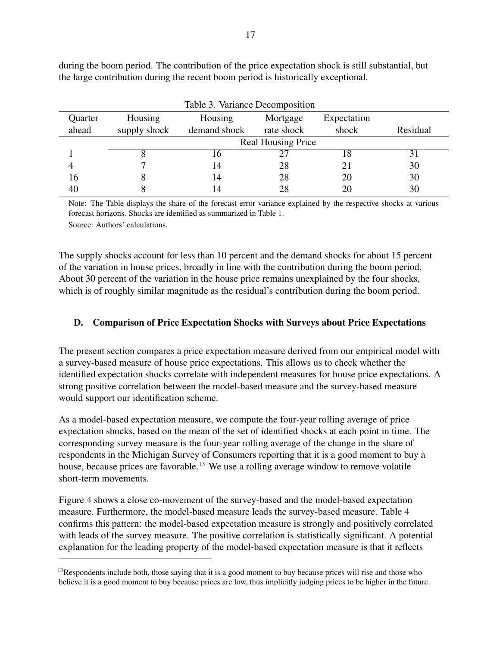<span id="page-18-1"></span>

| Table 3. Variance Decomposition |                           |                         |                        |                      |          |  |  |  |  |
|---------------------------------|---------------------------|-------------------------|------------------------|----------------------|----------|--|--|--|--|
| Quarter<br>ahead                | Housing<br>supply shock   | Housing<br>demand shock | Mortgage<br>rate shock | Expectation<br>shock | Residual |  |  |  |  |
|                                 | <b>Real Housing Price</b> |                         |                        |                      |          |  |  |  |  |
|                                 |                           | Iб                      |                        | 18                   | 31       |  |  |  |  |
|                                 |                           | 14                      | 28                     |                      | 30       |  |  |  |  |
| 16                              |                           | 14                      | 28                     | 20                   | 30       |  |  |  |  |
| 40                              |                           | 14                      | 28                     |                      | 30       |  |  |  |  |

during the boom period. The contribution of the price expectation shock is still substantial, but the large contribution during the recent boom period is historically exceptional.

Note: The Table displays the share of the forecast error variance explained by the respective shocks at various forecast horizons. Shocks are identified as summarized in Table [1.](#page-11-1)

Source: Authors' calculations.

The supply shocks account for less than 10 percent and the demand shocks for about 15 percent of the variation in house prices, broadly in line with the contribution during the boom period. About 30 percent of the variation in the house price remains unexplained by the four shocks, which is of roughly similar magnitude as the residual's contribution during the boom period.

## <span id="page-18-0"></span>D. Comparison of Price Expectation Shocks with Surveys about Price Expectations

The present section compares a price expectation measure derived from our empirical model with a survey-based measure of house price expectations. This allows us to check whether the identified expectation shocks correlate with independent measures for house price expectations. A strong positive correlation between the model-based measure and the survey-based measure would support our identification scheme.

As a model-based expectation measure, we compute the four-year rolling average of price expectation shocks, based on the mean of the set of identified shocks at each point in time. The corresponding survey measure is the four-year rolling average of the change in the share of respondents in the Michigan Survey of Consumers reporting that it is a good moment to buy a house, because prices are favorable.<sup>[13](#page-18-2)</sup> We use a rolling average window to remove volatile short-term movements.

Figure [4](#page-19-0) shows a close co-movement of the survey-based and the model-based expectation measure. Furthermore, the model-based measure leads the survey-based measure. Table [4](#page-20-1) confirms this pattern: the model-based expectation measure is strongly and positively correlated with leads of the survey measure. The positive correlation is statistically significant. A potential explanation for the leading property of the model-based expectation measure is that it reflects

<span id="page-18-2"></span> $<sup>13</sup>$ Respondents include both, those saying that it is a good moment to buy because prices will rise and those who</sup> believe it is a good moment to buy because prices are low, thus implicitly judging prices to be higher in the future.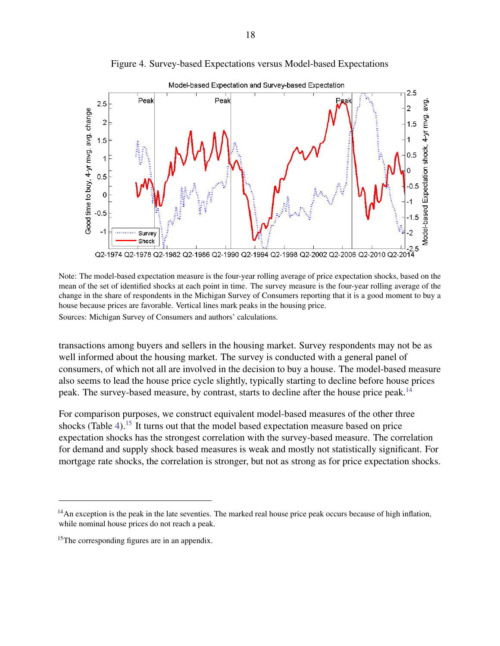<span id="page-19-0"></span>

Figure 4. Survey-based Expectations versus Model-based Expectations

Note: The model-based expectation measure is the four-year rolling average of price expectation shocks, based on the mean of the set of identified shocks at each point in time. The survey measure is the four-year rolling average of the change in the share of respondents in the Michigan Survey of Consumers reporting that it is a good moment to buy a house because prices are favorable. Vertical lines mark peaks in the housing price. Sources: Michigan Survey of Consumers and authors' calculations.

transactions among buyers and sellers in the housing market. Survey respondents may not be as well informed about the housing market. The survey is conducted with a general panel of consumers, of which not all are involved in the decision to buy a house. The model-based measure also seems to lead the house price cycle slightly, typically starting to decline before house prices peak. The survey-based measure, by contrast, starts to decline after the house price peak.<sup>[14](#page-19-1)</sup>

For comparison purposes, we construct equivalent model-based measures of the other three shocks (Table [4\)](#page-20-1).<sup>[15](#page-19-2)</sup> It turns out that the model based expectation measure based on price expectation shocks has the strongest correlation with the survey-based measure. The correlation for demand and supply shock based measures is weak and mostly not statistically significant. For mortgage rate shocks, the correlation is stronger, but not as strong as for price expectation shocks.

<span id="page-19-1"></span> $<sup>14</sup>$ An exception is the peak in the late seventies. The marked real house price peak occurs because of high inflation,</sup> while nominal house prices do not reach a peak.

<span id="page-19-2"></span><sup>&</sup>lt;sup>15</sup>The corresponding figures are in an appendix.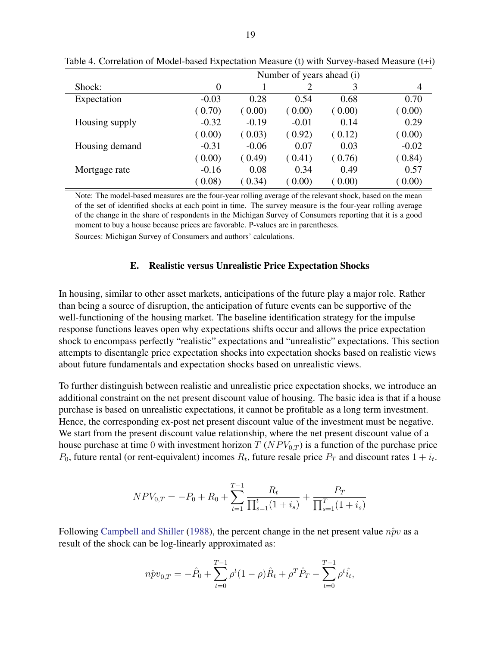|                |          | Number of years ahead (i) |         |        |         |  |  |  |
|----------------|----------|---------------------------|---------|--------|---------|--|--|--|
| Shock:         | $\theta$ |                           |         | 3      | 4       |  |  |  |
| Expectation    | $-0.03$  | 0.28                      | 0.54    | 0.68   | 0.70    |  |  |  |
|                | (0.70)   | (0.00)                    | (0.00)  | (0.00) | (0.00)  |  |  |  |
| Housing supply | $-0.32$  | $-0.19$                   | $-0.01$ | 0.14   | 0.29    |  |  |  |
|                | (0.00)   | (0.03)                    | (0.92)  | (0.12) | (0.00)  |  |  |  |
| Housing demand | $-0.31$  | $-0.06$                   | 0.07    | 0.03   | $-0.02$ |  |  |  |
|                | (0.00)   | (0.49)                    | (0.41)  | (0.76) | (0.84)  |  |  |  |
| Mortgage rate  | $-0.16$  | 0.08                      | 0.34    | 0.49   | 0.57    |  |  |  |
|                | (0.08)   | (0.34)                    | 0.00    | (0.00) | (0.00)  |  |  |  |

<span id="page-20-1"></span>Table 4. Correlation of Model-based Expectation Measure (t) with Survey-based Measure (t+i)

Note: The model-based measures are the four-year rolling average of the relevant shock, based on the mean of the set of identified shocks at each point in time. The survey measure is the four-year rolling average of the change in the share of respondents in the Michigan Survey of Consumers reporting that it is a good moment to buy a house because prices are favorable. P-values are in parentheses.

Sources: Michigan Survey of Consumers and authors' calculations.

#### E. Realistic versus Unrealistic Price Expectation Shocks

<span id="page-20-0"></span>In housing, similar to other asset markets, anticipations of the future play a major role. Rather than being a source of disruption, the anticipation of future events can be supportive of the well-functioning of the housing market. The baseline identification strategy for the impulse response functions leaves open why expectations shifts occur and allows the price expectation shock to encompass perfectly "realistic" expectations and "unrealistic" expectations. This section attempts to disentangle price expectation shocks into expectation shocks based on realistic views about future fundamentals and expectation shocks based on unrealistic views.

To further distinguish between realistic and unrealistic price expectation shocks, we introduce an additional constraint on the net present discount value of housing. The basic idea is that if a house purchase is based on unrealistic expectations, it cannot be profitable as a long term investment. Hence, the corresponding ex-post net present discount value of the investment must be negative. We start from the present discount value relationship, where the net present discount value of a house purchase at time 0 with investment horizon  $T (NPV_{0,T})$  is a function of the purchase price  $P_0$ , future rental (or rent-equivalent) incomes  $R_t$ , future resale price  $P_T$  and discount rates  $1 + i_t$ .

$$
NPV_{0,T} = -P_0 + R_0 + \sum_{t=1}^{T-1} \frac{R_t}{\prod_{s=1}^t (1+i_s)} + \frac{P_T}{\prod_{s=1}^T (1+i_s)}
$$

Following [Campbell and Shiller](#page-30-10) [\(1988\)](#page-30-10), the percent change in the net present value  $n\hat{p}v$  as a result of the shock can be log-linearly approximated as:

$$
n\hat{p}v_{0,T} = -\hat{P}_0 + \sum_{t=0}^{T-1} \rho^t (1-\rho)\hat{R}_t + \rho^T \hat{P}_T - \sum_{t=0}^{T-1} \rho^t \hat{i}_t,
$$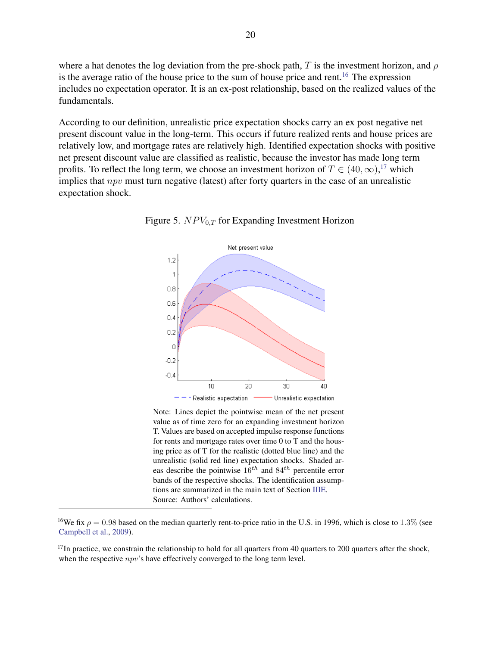where a hat denotes the log deviation from the pre-shock path, T is the investment horizon, and  $\rho$ is the average ratio of the house price to the sum of house price and rent.<sup>[16](#page-21-1)</sup> The expression includes no expectation operator. It is an ex-post relationship, based on the realized values of the fundamentals.

According to our definition, unrealistic price expectation shocks carry an ex post negative net present discount value in the long-term. This occurs if future realized rents and house prices are relatively low, and mortgage rates are relatively high. Identified expectation shocks with positive net present discount value are classified as realistic, because the investor has made long term profits. To reflect the long term, we choose an investment horizon of  $T \in (40, \infty)$ ,<sup>[17](#page-21-2)</sup> which implies that  $npv$  must turn negative (latest) after forty quarters in the case of an unrealistic expectation shock.

<span id="page-21-0"></span>



Note: Lines depict the pointwise mean of the net present value as of time zero for an expanding investment horizon T. Values are based on accepted impulse response functions for rents and mortgage rates over time 0 to T and the housing price as of T for the realistic (dotted blue line) and the unrealistic (solid red line) expectation shocks. Shaded areas describe the pointwise  $16^{th}$  and  $84^{th}$  percentile error bands of the respective shocks. The identification assumptions are summarized in the main text of Section [III](#page-12-0)[E.](#page-20-0) Source: Authors' calculations.

<span id="page-21-1"></span><sup>&</sup>lt;sup>16</sup>We fix  $\rho = 0.98$  based on the median quarterly rent-to-price ratio in the U.S. in 1996, which is close to 1.3% (see [Campbell et al.,](#page-30-11) [2009\)](#page-30-11).

<span id="page-21-2"></span> $17$ In practice, we constrain the relationship to hold for all quarters from 40 quarters to 200 quarters after the shock, when the respective *npv*'s have effectively converged to the long term level.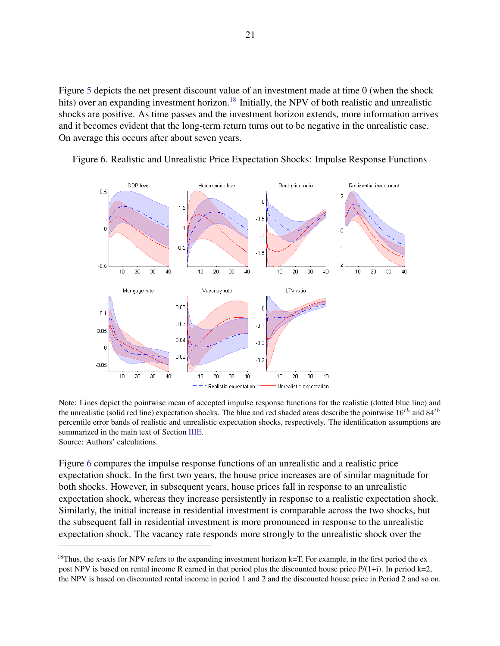Figure [5](#page-21-0) depicts the net present discount value of an investment made at time 0 (when the shock hits) over an expanding investment horizon.<sup>[18](#page-22-1)</sup> Initially, the NPV of both realistic and unrealistic shocks are positive. As time passes and the investment horizon extends, more information arrives and it becomes evident that the long-term return turns out to be negative in the unrealistic case. On average this occurs after about seven years.



<span id="page-22-0"></span>Figure 6. Realistic and Unrealistic Price Expectation Shocks: Impulse Response Functions

Note: Lines depict the pointwise mean of accepted impulse response functions for the realistic (dotted blue line) and the unrealistic (solid red line) expectation shocks. The blue and red shaded areas describe the pointwise  $16^{th}$  and  $84^{th}$ percentile error bands of realistic and unrealistic expectation shocks, respectively. The identification assumptions are summarized in the main text of Section [III](#page-12-0)[E.](#page-20-0) Source: Authors' calculations.

Figure [6](#page-22-0) compares the impulse response functions of an unrealistic and a realistic price expectation shock. In the first two years, the house price increases are of similar magnitude for both shocks. However, in subsequent years, house prices fall in response to an unrealistic expectation shock, whereas they increase persistently in response to a realistic expectation shock. Similarly, the initial increase in residential investment is comparable across the two shocks, but the subsequent fall in residential investment is more pronounced in response to the unrealistic expectation shock. The vacancy rate responds more strongly to the unrealistic shock over the

<span id="page-22-1"></span><sup>&</sup>lt;sup>18</sup>Thus, the x-axis for NPV refers to the expanding investment horizon  $k=T$ . For example, in the first period the ex post NPV is based on rental income R earned in that period plus the discounted house price P/(1+i). In period k=2, the NPV is based on discounted rental income in period 1 and 2 and the discounted house price in Period 2 and so on.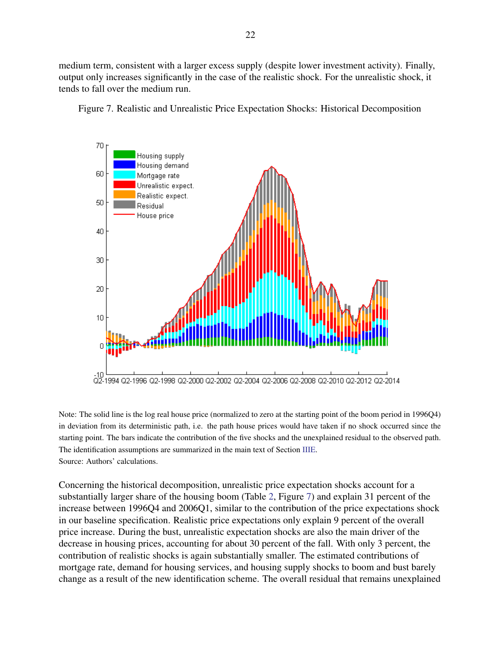medium term, consistent with a larger excess supply (despite lower investment activity). Finally, output only increases significantly in the case of the realistic shock. For the unrealistic shock, it tends to fall over the medium run.



<span id="page-23-0"></span>Figure 7. Realistic and Unrealistic Price Expectation Shocks: Historical Decomposition

Note: The solid line is the log real house price (normalized to zero at the starting point of the boom period in 1996Q4) in deviation from its deterministic path, i.e. the path house prices would have taken if no shock occurred since the starting point. The bars indicate the contribution of the five shocks and the unexplained residual to the observed path. The identification assumptions are summarized in the main text of Section [III](#page-12-0)[E.](#page-20-0) Source: Authors' calculations.

Concerning the historical decomposition, unrealistic price expectation shocks account for a substantially larger share of the housing boom (Table [2,](#page-17-1) Figure [7\)](#page-23-0) and explain 31 percent of the increase between 1996Q4 and 2006Q1, similar to the contribution of the price expectations shock in our baseline specification. Realistic price expectations only explain 9 percent of the overall price increase. During the bust, unrealistic expectation shocks are also the main driver of the decrease in housing prices, accounting for about 30 percent of the fall. With only 3 percent, the contribution of realistic shocks is again substantially smaller. The estimated contributions of mortgage rate, demand for housing services, and housing supply shocks to boom and bust barely change as a result of the new identification scheme. The overall residual that remains unexplained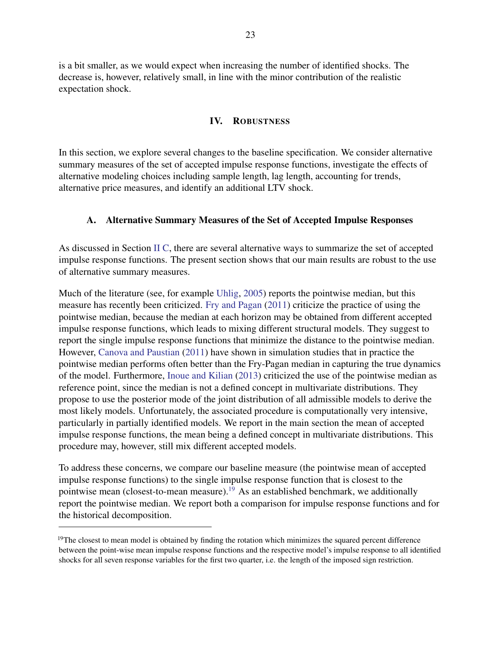is a bit smaller, as we would expect when increasing the number of identified shocks. The decrease is, however, relatively small, in line with the minor contribution of the realistic expectation shock.

#### IV. ROBUSTNESS

<span id="page-24-0"></span>In this section, we explore several changes to the baseline specification. We consider alternative summary measures of the set of accepted impulse response functions, investigate the effects of alternative modeling choices including sample length, lag length, accounting for trends, alternative price measures, and identify an additional LTV shock.

#### <span id="page-24-1"></span>A. Alternative Summary Measures of the Set of Accepted Impulse Responses

As discussed in Section [II](#page-6-0) [C,](#page-11-0) there are several alternative ways to summarize the set of accepted impulse response functions. The present section shows that our main results are robust to the use of alternative summary measures.

Much of the literature (see, for example [Uhlig,](#page-32-10) [2005\)](#page-32-10) reports the pointwise median, but this measure has recently been criticized. [Fry and Pagan](#page-30-12) [\(2011\)](#page-30-12) criticize the practice of using the pointwise median, because the median at each horizon may be obtained from different accepted impulse response functions, which leads to mixing different structural models. They suggest to report the single impulse response functions that minimize the distance to the pointwise median. However, [Canova and Paustian](#page-30-13) [\(2011\)](#page-30-13) have shown in simulation studies that in practice the pointwise median performs often better than the Fry-Pagan median in capturing the true dynamics of the model. Furthermore, [Inoue and Kilian](#page-31-14) [\(2013\)](#page-31-14) criticized the use of the pointwise median as reference point, since the median is not a defined concept in multivariate distributions. They propose to use the posterior mode of the joint distribution of all admissible models to derive the most likely models. Unfortunately, the associated procedure is computationally very intensive, particularly in partially identified models. We report in the main section the mean of accepted impulse response functions, the mean being a defined concept in multivariate distributions. This procedure may, however, still mix different accepted models.

To address these concerns, we compare our baseline measure (the pointwise mean of accepted impulse response functions) to the single impulse response function that is closest to the pointwise mean (closest-to-mean measure).[19](#page-24-2) As an established benchmark, we additionally report the pointwise median. We report both a comparison for impulse response functions and for the historical decomposition.

<span id="page-24-2"></span><sup>&</sup>lt;sup>19</sup>The closest to mean model is obtained by finding the rotation which minimizes the squared percent difference between the point-wise mean impulse response functions and the respective model's impulse response to all identified shocks for all seven response variables for the first two quarter, i.e. the length of the imposed sign restriction.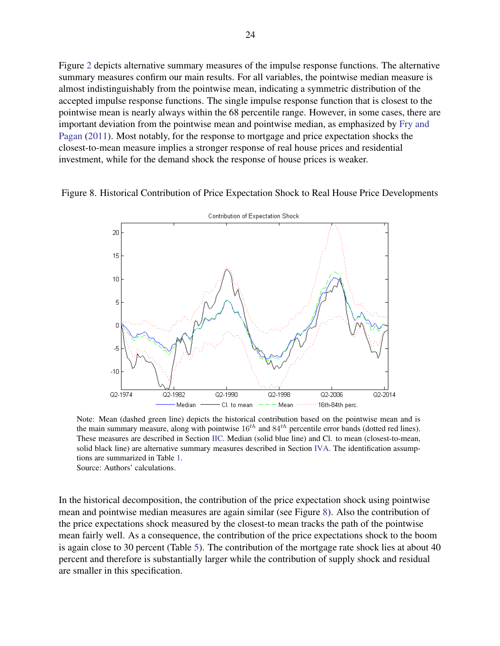Figure [2](#page-14-0) depicts alternative summary measures of the impulse response functions. The alternative summary measures confirm our main results. For all variables, the pointwise median measure is almost indistinguishably from the pointwise mean, indicating a symmetric distribution of the accepted impulse response functions. The single impulse response function that is closest to the pointwise mean is nearly always within the 68 percentile range. However, in some cases, there are important deviation from the pointwise mean and pointwise median, as emphasized by [Fry and](#page-30-12) [Pagan](#page-30-12) [\(2011\)](#page-30-12). Most notably, for the response to mortgage and price expectation shocks the closest-to-mean measure implies a stronger response of real house prices and residential investment, while for the demand shock the response of house prices is weaker.

<span id="page-25-1"></span>



Note: Mean (dashed green line) depicts the historical contribution based on the pointwise mean and is the main summary measure, along with pointwise  $16^{th}$  and  $84^{th}$  percentile error bands (dotted red lines). These measures are described in Section [II](#page-6-0)[C.](#page-11-0) Median (solid blue line) and Cl. to mean (closest-to-mean, solid black line) are alternative summary measures described in Section [IV](#page-24-0)[A.](#page-24-1) The identification assumptions are summarized in Table [1.](#page-11-1) Source: Authors' calculations.

<span id="page-25-0"></span>In the historical decomposition, the contribution of the price expectation shock using pointwise mean and pointwise median measures are again similar (see Figure [8\)](#page-25-1). Also the contribution of the price expectations shock measured by the closest-to mean tracks the path of the pointwise mean fairly well. As a consequence, the contribution of the price expectations shock to the boom is again close to 30 percent (Table [5\)](#page-26-0). The contribution of the mortgage rate shock lies at about 40 percent and therefore is substantially larger while the contribution of supply shock and residual are smaller in this specification.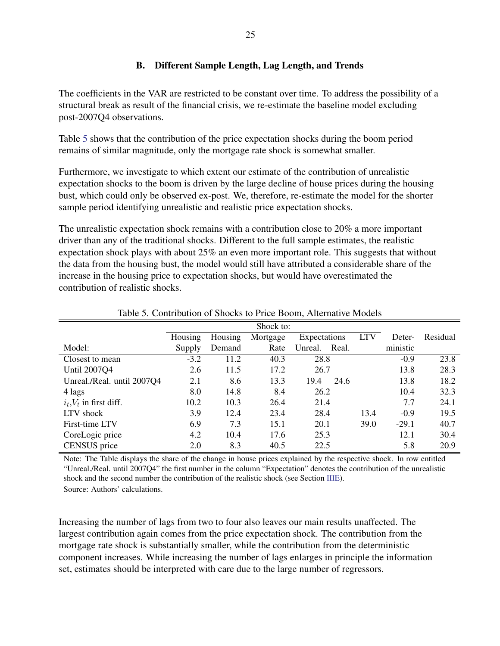# B. Different Sample Length, Lag Length, and Trends

The coefficients in the VAR are restricted to be constant over time. To address the possibility of a structural break as result of the financial crisis, we re-estimate the baseline model excluding post-2007Q4 observations.

Table [5](#page-26-0) shows that the contribution of the price expectation shocks during the boom period remains of similar magnitude, only the mortgage rate shock is somewhat smaller.

Furthermore, we investigate to which extent our estimate of the contribution of unrealistic expectation shocks to the boom is driven by the large decline of house prices during the housing bust, which could only be observed ex-post. We, therefore, re-estimate the model for the shorter sample period identifying unrealistic and realistic price expectation shocks.

The unrealistic expectation shock remains with a contribution close to 20% a more important driver than any of the traditional shocks. Different to the full sample estimates, the realistic expectation shock plays with about 25% an even more important role. This suggests that without the data from the housing bust, the model would still have attributed a considerable share of the increase in the housing price to expectation shocks, but would have overestimated the contribution of realistic shocks.

<span id="page-26-0"></span>

|                              | Shock to: |         |          |              |            |          |          |
|------------------------------|-----------|---------|----------|--------------|------------|----------|----------|
|                              | Housing   | Housing | Mortgage | Expectations | <b>LTV</b> | Deter-   | Residual |
| Model:                       | Supply    | Demand  | Rate     | Unreal.      | Real.      | ministic |          |
| Closest to mean              | $-3.2$    | 11.2    | 40.3     | 28.8         |            | $-0.9$   | 23.8     |
| Until 2007Q4                 | 2.6       | 11.5    | 17.2     | 26.7         |            | 13.8     | 28.3     |
| Unreal./Real. until 2007Q4   | 2.1       | 8.6     | 13.3     | 19.4         | 24.6       | 13.8     | 18.2     |
| 4 lags                       | 8.0       | 14.8    | 8.4      | 26.2         |            | 10.4     | 32.3     |
| $i_t$ , $V_t$ in first diff. | 10.2      | 10.3    | 26.4     | 21.4         |            | 7.7      | 24.1     |
| LTV shock                    | 3.9       | 12.4    | 23.4     | 28.4         | 13.4       | $-0.9$   | 19.5     |
| First-time LTV               | 6.9       | 7.3     | 15.1     | 20.1         | 39.0       | $-29.1$  | 40.7     |
| CoreLogic price              | 4.2       | 10.4    | 17.6     | 25.3         |            | 12.1     | 30.4     |
| CENSUS price                 | 2.0       | 8.3     | 40.5     | 22.5         |            | 5.8      | 20.9     |

Table 5. Contribution of Shocks to Price Boom, Alternative Models

Note: The Table displays the share of the change in house prices explained by the respective shock. In row entitled "Unreal./Real. until 2007Q4" the first number in the column "Expectation" denotes the contribution of the unrealistic shock and the second number the contribution of the realistic shock (see Section [III](#page-12-0)[E\)](#page-20-0).

Source: Authors' calculations.

Increasing the number of lags from two to four also leaves our main results unaffected. The largest contribution again comes from the price expectation shock. The contribution from the mortgage rate shock is substantially smaller, while the contribution from the deterministic component increases. While increasing the number of lags enlarges in principle the information set, estimates should be interpreted with care due to the large number of regressors.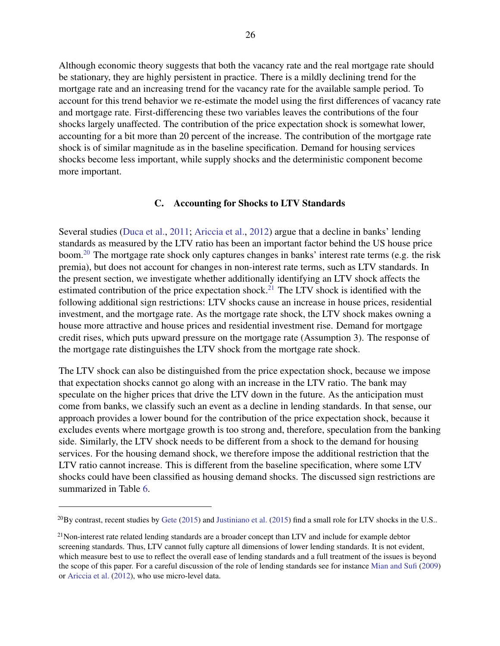Although economic theory suggests that both the vacancy rate and the real mortgage rate should be stationary, they are highly persistent in practice. There is a mildly declining trend for the mortgage rate and an increasing trend for the vacancy rate for the available sample period. To account for this trend behavior we re-estimate the model using the first differences of vacancy rate and mortgage rate. First-differencing these two variables leaves the contributions of the four shocks largely unaffected. The contribution of the price expectation shock is somewhat lower, accounting for a bit more than 20 percent of the increase. The contribution of the mortgage rate shock is of similar magnitude as in the baseline specification. Demand for housing services shocks become less important, while supply shocks and the deterministic component become more important.

#### C. Accounting for Shocks to LTV Standards

<span id="page-27-0"></span>Several studies [\(Duca et al.,](#page-30-14) [2011;](#page-30-14) [Ariccia et al.,](#page-30-15) [2012\)](#page-30-15) argue that a decline in banks' lending standards as measured by the LTV ratio has been an important factor behind the US house price boom.[20](#page-27-1) The mortgage rate shock only captures changes in banks' interest rate terms (e.g. the risk premia), but does not account for changes in non-interest rate terms, such as LTV standards. In the present section, we investigate whether additionally identifying an LTV shock affects the estimated contribution of the price expectation shock.<sup>[21](#page-27-2)</sup> The LTV shock is identified with the following additional sign restrictions: LTV shocks cause an increase in house prices, residential investment, and the mortgage rate. As the mortgage rate shock, the LTV shock makes owning a house more attractive and house prices and residential investment rise. Demand for mortgage credit rises, which puts upward pressure on the mortgage rate (Assumption 3). The response of the mortgage rate distinguishes the LTV shock from the mortgage rate shock.

The LTV shock can also be distinguished from the price expectation shock, because we impose that expectation shocks cannot go along with an increase in the LTV ratio. The bank may speculate on the higher prices that drive the LTV down in the future. As the anticipation must come from banks, we classify such an event as a decline in lending standards. In that sense, our approach provides a lower bound for the contribution of the price expectation shock, because it excludes events where mortgage growth is too strong and, therefore, speculation from the banking side. Similarly, the LTV shock needs to be different from a shock to the demand for housing services. For the housing demand shock, we therefore impose the additional restriction that the LTV ratio cannot increase. This is different from the baseline specification, where some LTV shocks could have been classified as housing demand shocks. The discussed sign restrictions are summarized in Table [6.](#page-28-1)

<span id="page-27-1"></span> $^{20}$ By contrast, recent studies by [Gete](#page-31-5) [\(2015\)](#page-31-15) and [Justiniano et al.](#page-31-15) (2015) find a small role for LTV shocks in the U.S..

<span id="page-27-2"></span><sup>&</sup>lt;sup>21</sup>Non-interest rate related lending standards are a broader concept than LTV and include for example debtor screening standards. Thus, LTV cannot fully capture all dimensions of lower lending standards. It is not evident, which measure best to use to reflect the overall ease of lending standards and a full treatment of the issues is beyond the scope of this paper. For a careful discussion of the role of lending standards see for instance [Mian and Sufi](#page-32-1) [\(2009\)](#page-32-1) or [Ariccia et al.](#page-30-15) [\(2012\)](#page-30-15), who use micro-level data.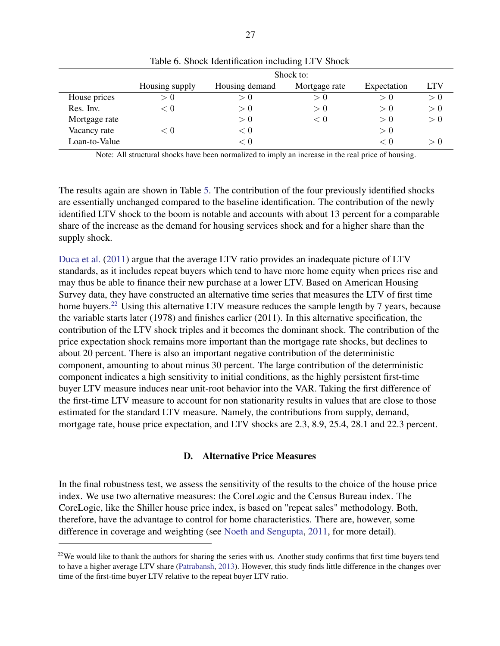<span id="page-28-1"></span>

|               | Shock to:      |                |               |             |            |  |  |
|---------------|----------------|----------------|---------------|-------------|------------|--|--|
|               | Housing supply | Housing demand | Mortgage rate | Expectation | <b>LTV</b> |  |  |
| House prices  | > 0            | > 0            | > ()          | > 0         | > 0        |  |  |
| Res. Inv.     | < 0            | > 0            | > 0           | > 0         | > 0        |  |  |
| Mortgage rate |                | > 0            | ⊂ ∪           | > 0         | > 0        |  |  |
| Vacancy rate  | < 0            | < 0            |               | > 0         |            |  |  |
| Loan-to-Value |                | < 0            |               | < 0         | > 0        |  |  |

Table 6. Shock Identification including LTV Shock

Note: All structural shocks have been normalized to imply an increase in the real price of housing.

The results again are shown in Table [5.](#page-26-0) The contribution of the four previously identified shocks are essentially unchanged compared to the baseline identification. The contribution of the newly identified LTV shock to the boom is notable and accounts with about 13 percent for a comparable share of the increase as the demand for housing services shock and for a higher share than the supply shock.

[Duca et al.](#page-30-14) [\(2011\)](#page-30-14) argue that the average LTV ratio provides an inadequate picture of LTV standards, as it includes repeat buyers which tend to have more home equity when prices rise and may thus be able to finance their new purchase at a lower LTV. Based on American Housing Survey data, they have constructed an alternative time series that measures the LTV of first time home buyers.<sup>[22](#page-28-2)</sup> Using this alternative LTV measure reduces the sample length by 7 years, because the variable starts later (1978) and finishes earlier (2011). In this alternative specification, the contribution of the LTV shock triples and it becomes the dominant shock. The contribution of the price expectation shock remains more important than the mortgage rate shocks, but declines to about 20 percent. There is also an important negative contribution of the deterministic component, amounting to about minus 30 percent. The large contribution of the deterministic component indicates a high sensitivity to initial conditions, as the highly persistent first-time buyer LTV measure induces near unit-root behavior into the VAR. Taking the first difference of the first-time LTV measure to account for non stationarity results in values that are close to those estimated for the standard LTV measure. Namely, the contributions from supply, demand, mortgage rate, house price expectation, and LTV shocks are 2.3, 8.9, 25.4, 28.1 and 22.3 percent.

#### D. Alternative Price Measures

<span id="page-28-0"></span>In the final robustness test, we assess the sensitivity of the results to the choice of the house price index. We use two alternative measures: the CoreLogic and the Census Bureau index. The CoreLogic, like the Shiller house price index, is based on "repeat sales" methodology. Both, therefore, have the advantage to control for home characteristics. There are, however, some difference in coverage and weighting (see [Noeth and Sengupta,](#page-32-15) [2011,](#page-32-15) for more detail).

<span id="page-28-2"></span> $22$ We would like to thank the authors for sharing the series with us. Another study confirms that first time buyers tend to have a higher average LTV share [\(Patrabansh,](#page-32-16) [2013\)](#page-32-16). However, this study finds little difference in the changes over time of the first-time buyer LTV relative to the repeat buyer LTV ratio.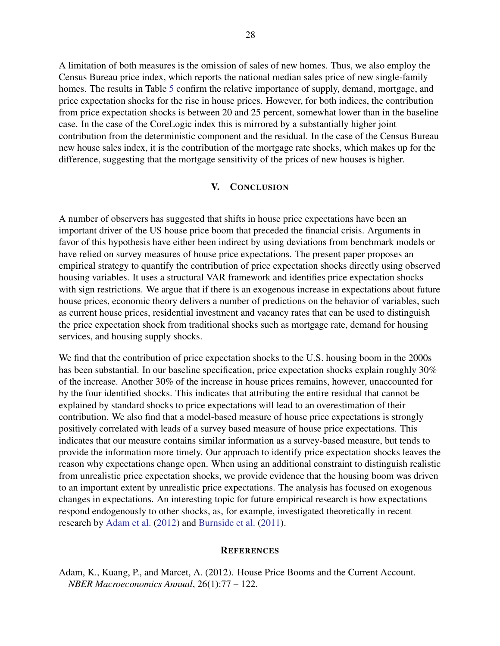A limitation of both measures is the omission of sales of new homes. Thus, we also employ the Census Bureau price index, which reports the national median sales price of new single-family homes. The results in Table [5](#page-26-0) confirm the relative importance of supply, demand, mortgage, and price expectation shocks for the rise in house prices. However, for both indices, the contribution from price expectation shocks is between 20 and 25 percent, somewhat lower than in the baseline case. In the case of the CoreLogic index this is mirrored by a substantially higher joint contribution from the deterministic component and the residual. In the case of the Census Bureau new house sales index, it is the contribution of the mortgage rate shocks, which makes up for the difference, suggesting that the mortgage sensitivity of the prices of new houses is higher.

#### V. CONCLUSION

<span id="page-29-0"></span>A number of observers has suggested that shifts in house price expectations have been an important driver of the US house price boom that preceded the financial crisis. Arguments in favor of this hypothesis have either been indirect by using deviations from benchmark models or have relied on survey measures of house price expectations. The present paper proposes an empirical strategy to quantify the contribution of price expectation shocks directly using observed housing variables. It uses a structural VAR framework and identifies price expectation shocks with sign restrictions. We argue that if there is an exogenous increase in expectations about future house prices, economic theory delivers a number of predictions on the behavior of variables, such as current house prices, residential investment and vacancy rates that can be used to distinguish the price expectation shock from traditional shocks such as mortgage rate, demand for housing services, and housing supply shocks.

We find that the contribution of price expectation shocks to the U.S. housing boom in the 2000s has been substantial. In our baseline specification, price expectation shocks explain roughly 30% of the increase. Another 30% of the increase in house prices remains, however, unaccounted for by the four identified shocks. This indicates that attributing the entire residual that cannot be explained by standard shocks to price expectations will lead to an overestimation of their contribution. We also find that a model-based measure of house price expectations is strongly positively correlated with leads of a survey based measure of house price expectations. This indicates that our measure contains similar information as a survey-based measure, but tends to provide the information more timely. Our approach to identify price expectation shocks leaves the reason why expectations change open. When using an additional constraint to distinguish realistic from unrealistic price expectation shocks, we provide evidence that the housing boom was driven to an important extent by unrealistic price expectations. The analysis has focused on exogenous changes in expectations. An interesting topic for future empirical research is how expectations respond endogenously to other shocks, as, for example, investigated theoretically in recent research by [Adam et al.](#page-29-2) [\(2012\)](#page-29-2) and [Burnside et al.](#page-30-4) [\(2011\)](#page-30-4).

#### <span id="page-29-1"></span>**REFERENCES**

<span id="page-29-2"></span>Adam, K., Kuang, P., and Marcet, A. (2012). House Price Booms and the Current Account. *NBER Macroeconomics Annual*, 26(1):77 – 122.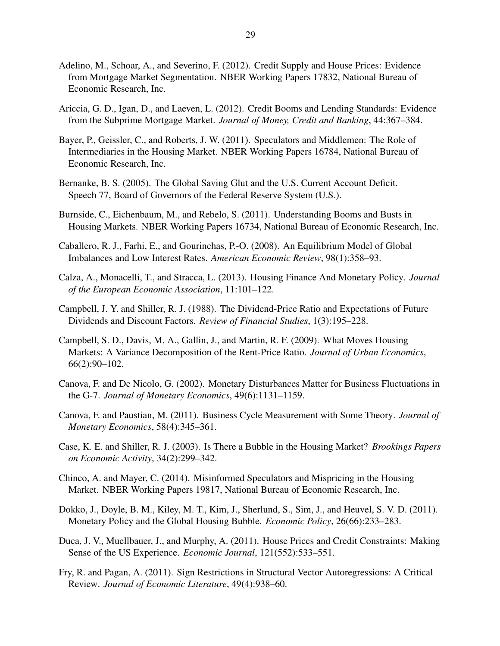- <span id="page-30-6"></span>Adelino, M., Schoar, A., and Severino, F. (2012). Credit Supply and House Prices: Evidence from Mortgage Market Segmentation. NBER Working Papers 17832, National Bureau of Economic Research, Inc.
- <span id="page-30-15"></span>Ariccia, G. D., Igan, D., and Laeven, L. (2012). Credit Booms and Lending Standards: Evidence from the Subprime Mortgage Market. *Journal of Money, Credit and Banking*, 44:367–384.
- <span id="page-30-3"></span>Bayer, P., Geissler, C., and Roberts, J. W. (2011). Speculators and Middlemen: The Role of Intermediaries in the Housing Market. NBER Working Papers 16784, National Bureau of Economic Research, Inc.
- <span id="page-30-7"></span>Bernanke, B. S. (2005). The Global Saving Glut and the U.S. Current Account Deficit. Speech 77, Board of Governors of the Federal Reserve System (U.S.).
- <span id="page-30-4"></span>Burnside, C., Eichenbaum, M., and Rebelo, S. (2011). Understanding Booms and Busts in Housing Markets. NBER Working Papers 16734, National Bureau of Economic Research, Inc.
- <span id="page-30-8"></span>Caballero, R. J., Farhi, E., and Gourinchas, P.-O. (2008). An Equilibrium Model of Global Imbalances and Low Interest Rates. *American Economic Review*, 98(1):358–93.
- <span id="page-30-9"></span>Calza, A., Monacelli, T., and Stracca, L. (2013). Housing Finance And Monetary Policy. *Journal of the European Economic Association*, 11:101–122.
- <span id="page-30-10"></span>Campbell, J. Y. and Shiller, R. J. (1988). The Dividend-Price Ratio and Expectations of Future Dividends and Discount Factors. *Review of Financial Studies*, 1(3):195–228.
- <span id="page-30-11"></span>Campbell, S. D., Davis, M. A., Gallin, J., and Martin, R. F. (2009). What Moves Housing Markets: A Variance Decomposition of the Rent-Price Ratio. *Journal of Urban Economics*, 66(2):90–102.
- <span id="page-30-5"></span>Canova, F. and De Nicolo, G. (2002). Monetary Disturbances Matter for Business Fluctuations in the G-7. *Journal of Monetary Economics*, 49(6):1131–1159.
- <span id="page-30-13"></span>Canova, F. and Paustian, M. (2011). Business Cycle Measurement with Some Theory. *Journal of Monetary Economics*, 58(4):345–361.
- <span id="page-30-1"></span>Case, K. E. and Shiller, R. J. (2003). Is There a Bubble in the Housing Market? *Brookings Papers on Economic Activity*, 34(2):299–342.
- <span id="page-30-2"></span>Chinco, A. and Mayer, C. (2014). Misinformed Speculators and Mispricing in the Housing Market. NBER Working Papers 19817, National Bureau of Economic Research, Inc.
- <span id="page-30-0"></span>Dokko, J., Doyle, B. M., Kiley, M. T., Kim, J., Sherlund, S., Sim, J., and Heuvel, S. V. D. (2011). Monetary Policy and the Global Housing Bubble. *Economic Policy*, 26(66):233–283.
- <span id="page-30-14"></span>Duca, J. V., Muellbauer, J., and Murphy, A. (2011). House Prices and Credit Constraints: Making Sense of the US Experience. *Economic Journal*, 121(552):533–551.
- <span id="page-30-12"></span>Fry, R. and Pagan, A. (2011). Sign Restrictions in Structural Vector Autoregressions: A Critical Review. *Journal of Economic Literature*, 49(4):938–60.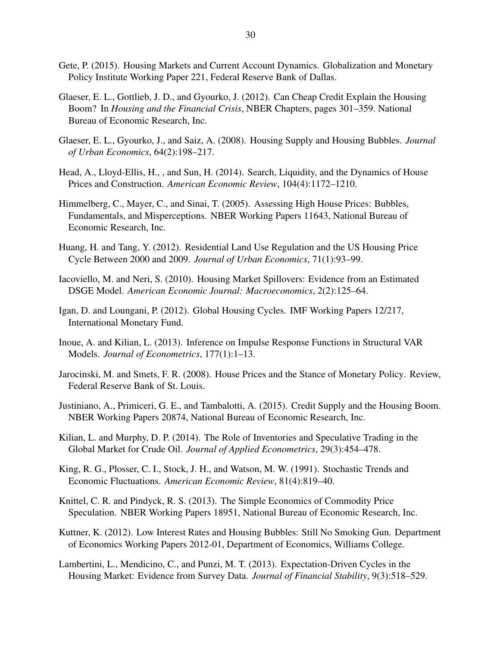- <span id="page-31-5"></span>Gete, P. (2015). Housing Markets and Current Account Dynamics. Globalization and Monetary Policy Institute Working Paper 221, Federal Reserve Bank of Dallas.
- <span id="page-31-2"></span>Glaeser, E. L., Gottlieb, J. D., and Gyourko, J. (2012). Can Cheap Credit Explain the Housing Boom? In *Housing and the Financial Crisis*, NBER Chapters, pages 301–359. National Bureau of Economic Research, Inc.
- <span id="page-31-8"></span>Glaeser, E. L., Gyourko, J., and Saiz, A. (2008). Housing Supply and Housing Bubbles. *Journal of Urban Economics*, 64(2):198–217.
- <span id="page-31-10"></span>Head, A., Lloyd-Ellis, H., , and Sun, H. (2014). Search, Liquidity, and the Dynamics of House Prices and Construction. *American Economic Review*, 104(4):1172–1210.
- <span id="page-31-3"></span>Himmelberg, C., Mayer, C., and Sinai, T. (2005). Assessing High House Prices: Bubbles, Fundamentals, and Misperceptions. NBER Working Papers 11643, National Bureau of Economic Research, Inc.
- <span id="page-31-9"></span>Huang, H. and Tang, Y. (2012). Residential Land Use Regulation and the US Housing Price Cycle Between 2000 and 2009. *Journal of Urban Economics*, 71(1):93–99.
- <span id="page-31-1"></span>Iacoviello, M. and Neri, S. (2010). Housing Market Spillovers: Evidence from an Estimated DSGE Model. *American Economic Journal: Macroeconomics*, 2(2):125–64.
- <span id="page-31-13"></span>Igan, D. and Loungani, P. (2012). Global Housing Cycles. IMF Working Papers 12/217, International Monetary Fund.
- <span id="page-31-14"></span>Inoue, A. and Kilian, L. (2013). Inference on Impulse Response Functions in Structural VAR Models. *Journal of Econometrics*, 177(1):1–13.
- <span id="page-31-12"></span>Jarocinski, M. and Smets, F. R. (2008). House Prices and the Stance of Monetary Policy. Review, Federal Reserve Bank of St. Louis.
- <span id="page-31-15"></span>Justiniano, A., Primiceri, G. E., and Tambalotti, A. (2015). Credit Supply and the Housing Boom. NBER Working Papers 20874, National Bureau of Economic Research, Inc.
- <span id="page-31-6"></span>Kilian, L. and Murphy, D. P. (2014). The Role of Inventories and Speculative Trading in the Global Market for Crude Oil. *Journal of Applied Econometrics*, 29(3):454–478.
- <span id="page-31-7"></span>King, R. G., Plosser, C. I., Stock, J. H., and Watson, M. W. (1991). Stochastic Trends and Economic Fluctuations. *American Economic Review*, 81(4):819–40.
- <span id="page-31-11"></span>Knittel, C. R. and Pindyck, R. S. (2013). The Simple Economics of Commodity Price Speculation. NBER Working Papers 18951, National Bureau of Economic Research, Inc.
- <span id="page-31-0"></span>Kuttner, K. (2012). Low Interest Rates and Housing Bubbles: Still No Smoking Gun. Department of Economics Working Papers 2012-01, Department of Economics, Williams College.
- <span id="page-31-4"></span>Lambertini, L., Mendicino, C., and Punzi, M. T. (2013). Expectation-Driven Cycles in the Housing Market: Evidence from Survey Data. *Journal of Financial Stability*, 9(3):518–529.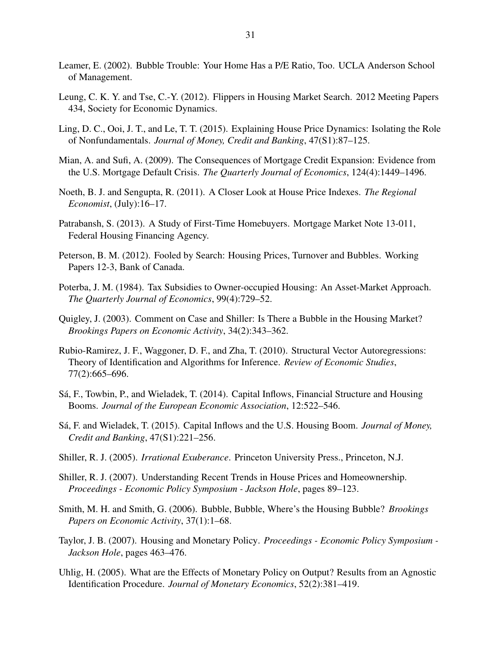- <span id="page-32-5"></span>Leamer, E. (2002). Bubble Trouble: Your Home Has a P/E Ratio, Too. UCLA Anderson School of Management.
- <span id="page-32-3"></span>Leung, C. K. Y. and Tse, C.-Y. (2012). Flippers in Housing Market Search. 2012 Meeting Papers 434, Society for Economic Dynamics.
- <span id="page-32-8"></span>Ling, D. C., Ooi, J. T., and Le, T. T. (2015). Explaining House Price Dynamics: Isolating the Role of Nonfundamentals. *Journal of Money, Credit and Banking*, 47(S1):87–125.
- <span id="page-32-1"></span>Mian, A. and Sufi, A. (2009). The Consequences of Mortgage Credit Expansion: Evidence from the U.S. Mortgage Default Crisis. *The Quarterly Journal of Economics*, 124(4):1449–1496.
- <span id="page-32-15"></span>Noeth, B. J. and Sengupta, R. (2011). A Closer Look at House Price Indexes. *The Regional Economist*, (July):16–17.
- <span id="page-32-16"></span>Patrabansh, S. (2013). A Study of First-Time Homebuyers. Mortgage Market Note 13-011, Federal Housing Financing Agency.
- <span id="page-32-2"></span>Peterson, B. M. (2012). Fooled by Search: Housing Prices, Turnover and Bubbles. Working Papers 12-3, Bank of Canada.
- <span id="page-32-11"></span>Poterba, J. M. (1984). Tax Subsidies to Owner-occupied Housing: An Asset-Market Approach. *The Quarterly Journal of Economics*, 99(4):729–52.
- <span id="page-32-7"></span>Quigley, J. (2003). Comment on Case and Shiller: Is There a Bubble in the Housing Market? *Brookings Papers on Economic Activity*, 34(2):343–362.
- <span id="page-32-14"></span>Rubio-Ramirez, J. F., Waggoner, D. F., and Zha, T. (2010). Structural Vector Autoregressions: Theory of Identification and Algorithms for Inference. *Review of Economic Studies*, 77(2):665–696.
- <span id="page-32-13"></span>Sá, F., Towbin, P., and Wieladek, T. (2014). Capital Inflows, Financial Structure and Housing Booms. *Journal of the European Economic Association*, 12:522–546.
- <span id="page-32-12"></span>Sá, F. and Wieladek, T. (2015). Capital Inflows and the U.S. Housing Boom. *Journal of Money, Credit and Banking*, 47(S1):221–256.
- <span id="page-32-9"></span>Shiller, R. J. (2005). *Irrational Exuberance*. Princeton University Press., Princeton, N.J.
- <span id="page-32-4"></span>Shiller, R. J. (2007). Understanding Recent Trends in House Prices and Homeownership. *Proceedings - Economic Policy Symposium - Jackson Hole*, pages 89–123.
- <span id="page-32-6"></span>Smith, M. H. and Smith, G. (2006). Bubble, Bubble, Where's the Housing Bubble? *Brookings Papers on Economic Activity*, 37(1):1–68.
- <span id="page-32-0"></span>Taylor, J. B. (2007). Housing and Monetary Policy. *Proceedings - Economic Policy Symposium - Jackson Hole*, pages 463–476.
- <span id="page-32-10"></span>Uhlig, H. (2005). What are the Effects of Monetary Policy on Output? Results from an Agnostic Identification Procedure. *Journal of Monetary Economics*, 52(2):381–419.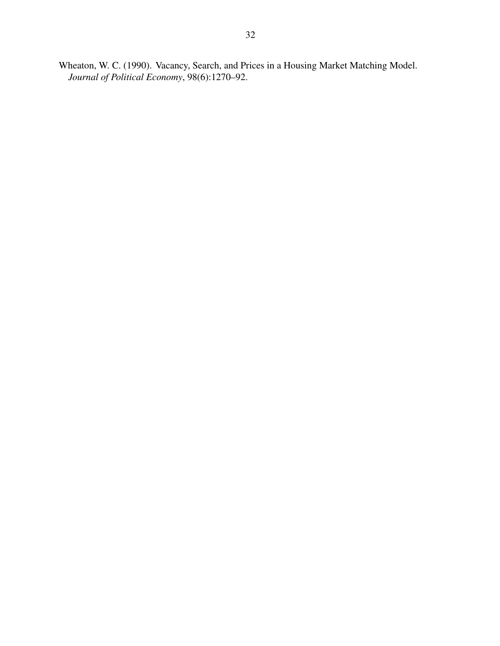<span id="page-33-0"></span>Wheaton, W. C. (1990). Vacancy, Search, and Prices in a Housing Market Matching Model. *Journal of Political Economy*, 98(6):1270–92.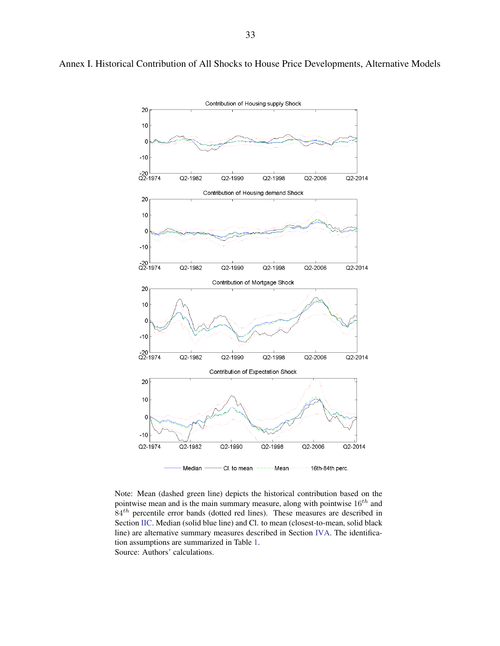

Note: Mean (dashed green line) depicts the historical contribution based on the pointwise mean and is the main summary measure, along with pointwise  $16<sup>th</sup>$  and  $84<sup>th</sup>$  percentile error bands (dotted red lines). These measures are described in Section [II](#page-6-0)[C.](#page-11-0) Median (solid blue line) and Cl. to mean (closest-to-mean, solid black line) are alternative summary measures described in Section [IV](#page-24-0)[A.](#page-24-1) The identification assumptions are summarized in Table [1.](#page-11-1) Source: Authors' calculations.